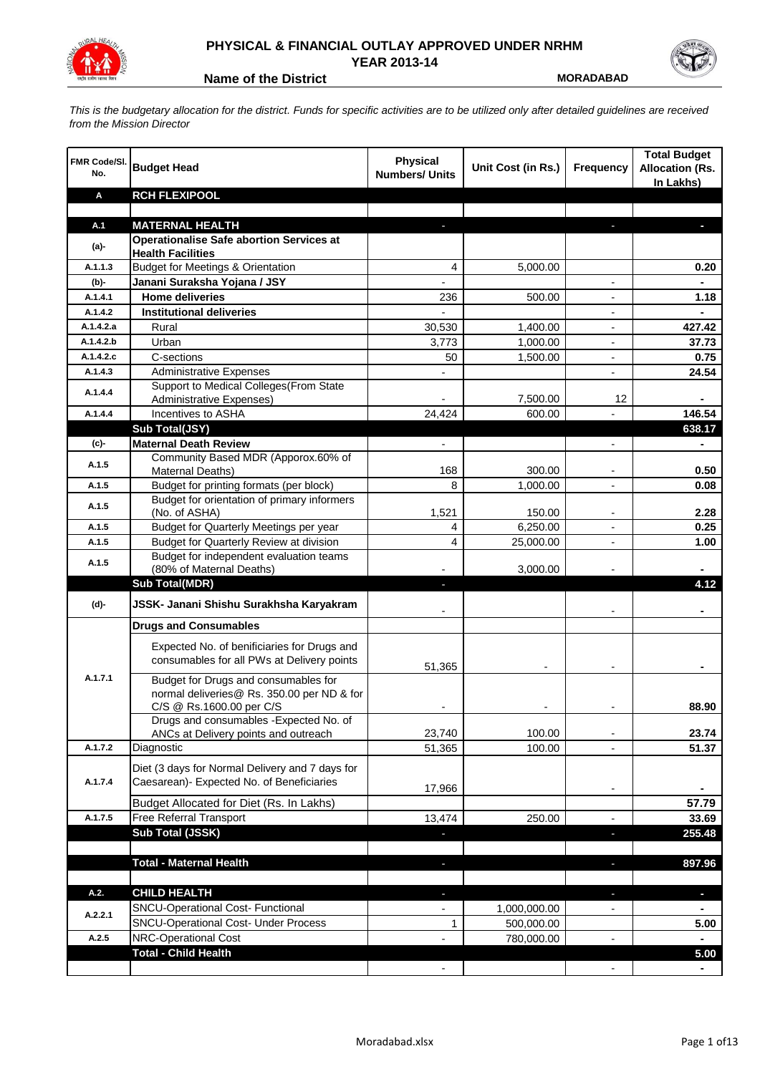

## **PHYSICAL & FINANCIAL OUTLAY APPROVED UNDER NRHM YEAR 2013-14**

**Name of the District**  MORADABAD

*This is the budgetary allocation for the district. Funds for specific activities are to be utilized only after detailed guidelines are received from the Mission Director*

| <b>FMR Code/SI.</b><br>No. | <b>Budget Head</b>                                                                                             | Physical<br><b>Numbers/ Units</b> | Unit Cost (in Rs.) | <b>Frequency</b>         | <b>Total Budget</b><br><b>Allocation (Rs.</b><br>In Lakhs) |
|----------------------------|----------------------------------------------------------------------------------------------------------------|-----------------------------------|--------------------|--------------------------|------------------------------------------------------------|
| Α                          | <b>RCH FLEXIPOOL</b>                                                                                           |                                   |                    |                          |                                                            |
|                            |                                                                                                                |                                   |                    |                          |                                                            |
| A.1                        | <b>MATERNAL HEALTH</b>                                                                                         |                                   |                    |                          |                                                            |
| $(a)$ -                    | <b>Operationalise Safe abortion Services at</b><br><b>Health Facilities</b>                                    |                                   |                    |                          |                                                            |
| A.1.1.3                    | <b>Budget for Meetings &amp; Orientation</b>                                                                   | 4                                 | 5,000.00           |                          | 0.20                                                       |
| (b)-                       | Janani Suraksha Yojana / JSY                                                                                   |                                   |                    |                          |                                                            |
| A.1.4.1                    | <b>Home deliveries</b>                                                                                         | 236                               | 500.00             |                          | 1.18                                                       |
| A.1.4.2                    | <b>Institutional deliveries</b>                                                                                |                                   |                    |                          |                                                            |
| A.1.4.2.a                  | Rural                                                                                                          | 30,530                            | 1,400.00           |                          | 427.42                                                     |
| A.1.4.2.b                  | Urban                                                                                                          | 3,773                             | 1,000.00           | $\overline{\phantom{a}}$ | 37.73                                                      |
| A.1.4.2.c                  | C-sections                                                                                                     | 50                                | 1,500.00           | $\overline{\phantom{a}}$ | 0.75                                                       |
| A.1.4.3                    | <b>Administrative Expenses</b>                                                                                 |                                   |                    | $\overline{a}$           | 24.54                                                      |
| A.1.4.4                    | Support to Medical Colleges(From State                                                                         |                                   |                    |                          |                                                            |
|                            | Administrative Expenses)                                                                                       |                                   | 7,500.00           | 12                       |                                                            |
| A.1.4.4                    | Incentives to ASHA                                                                                             | 24,424                            | 600.00             |                          | 146.54                                                     |
|                            | Sub Total(JSY)                                                                                                 |                                   |                    |                          | 638.17                                                     |
| $(c)$ -                    | <b>Maternal Death Review</b>                                                                                   | $\overline{\phantom{a}}$          |                    | $\overline{\phantom{a}}$ |                                                            |
| A.1.5                      | Community Based MDR (Apporox.60% of<br>Maternal Deaths)                                                        | 168                               | 300.00             |                          | 0.50                                                       |
| A.1.5                      | Budget for printing formats (per block)                                                                        | 8                                 | 1,000.00           |                          | 0.08                                                       |
|                            | Budget for orientation of primary informers                                                                    |                                   |                    |                          |                                                            |
| A.1.5                      | (No. of ASHA)                                                                                                  | 1,521                             | 150.00             |                          | 2.28                                                       |
| A.1.5                      | Budget for Quarterly Meetings per year                                                                         | 4                                 | 6,250.00           |                          | 0.25                                                       |
| A.1.5                      | Budget for Quarterly Review at division                                                                        | 4                                 | 25,000.00          |                          | 1.00                                                       |
| A.1.5                      | Budget for independent evaluation teams                                                                        |                                   |                    |                          |                                                            |
|                            | (80% of Maternal Deaths)                                                                                       |                                   | 3,000.00           |                          |                                                            |
|                            | <b>Sub Total(MDR)</b>                                                                                          |                                   |                    |                          | 4.12                                                       |
| (d)-                       | JSSK- Janani Shishu Surakhsha Karyakram                                                                        |                                   |                    |                          |                                                            |
|                            | <b>Drugs and Consumables</b>                                                                                   |                                   |                    |                          |                                                            |
|                            | Expected No. of benificiaries for Drugs and<br>consumables for all PWs at Delivery points                      | 51,365                            |                    |                          |                                                            |
| A.1.7.1                    | Budget for Drugs and consumables for<br>normal deliveries@ Rs. 350.00 per ND & for<br>C/S @ Rs.1600.00 per C/S |                                   |                    |                          | 88.90                                                      |
|                            | Drugs and consumables - Expected No. of                                                                        |                                   |                    |                          |                                                            |
|                            | ANCs at Delivery points and outreach                                                                           | 23,740                            | 100.00             |                          | 23.74                                                      |
| A.1.7.2                    | Diagnostic                                                                                                     | 51,365                            | 100.00             |                          | 51.37                                                      |
| A.1.7.4                    | Diet (3 days for Normal Delivery and 7 days for<br>Caesarean)- Expected No. of Beneficiaries                   | 17,966                            |                    | $\overline{\phantom{a}}$ |                                                            |
|                            | Budget Allocated for Diet (Rs. In Lakhs)                                                                       |                                   |                    |                          | 57.79                                                      |
| A.1.7.5                    | Free Referral Transport                                                                                        | 13,474                            | 250.00             | $\blacksquare$           | 33.69                                                      |
|                            | Sub Total (JSSK)                                                                                               |                                   |                    | J,                       | 255.48                                                     |
|                            |                                                                                                                |                                   |                    |                          |                                                            |
|                            | <b>Total - Maternal Health</b>                                                                                 |                                   |                    |                          | 897.96                                                     |
| A.2.                       | <b>CHILD HEALTH</b>                                                                                            |                                   |                    |                          | ٠                                                          |
| A.2.2.1                    | SNCU-Operational Cost- Functional                                                                              |                                   | 1,000,000.00       |                          |                                                            |
|                            | <b>SNCU-Operational Cost- Under Process</b>                                                                    | $\mathbf{1}$                      | 500,000.00         |                          | 5.00                                                       |
| A.2.5                      | NRC-Operational Cost                                                                                           |                                   | 780,000.00         |                          |                                                            |
|                            | <b>Total - Child Health</b>                                                                                    |                                   |                    |                          | 5.00                                                       |
|                            |                                                                                                                |                                   |                    |                          |                                                            |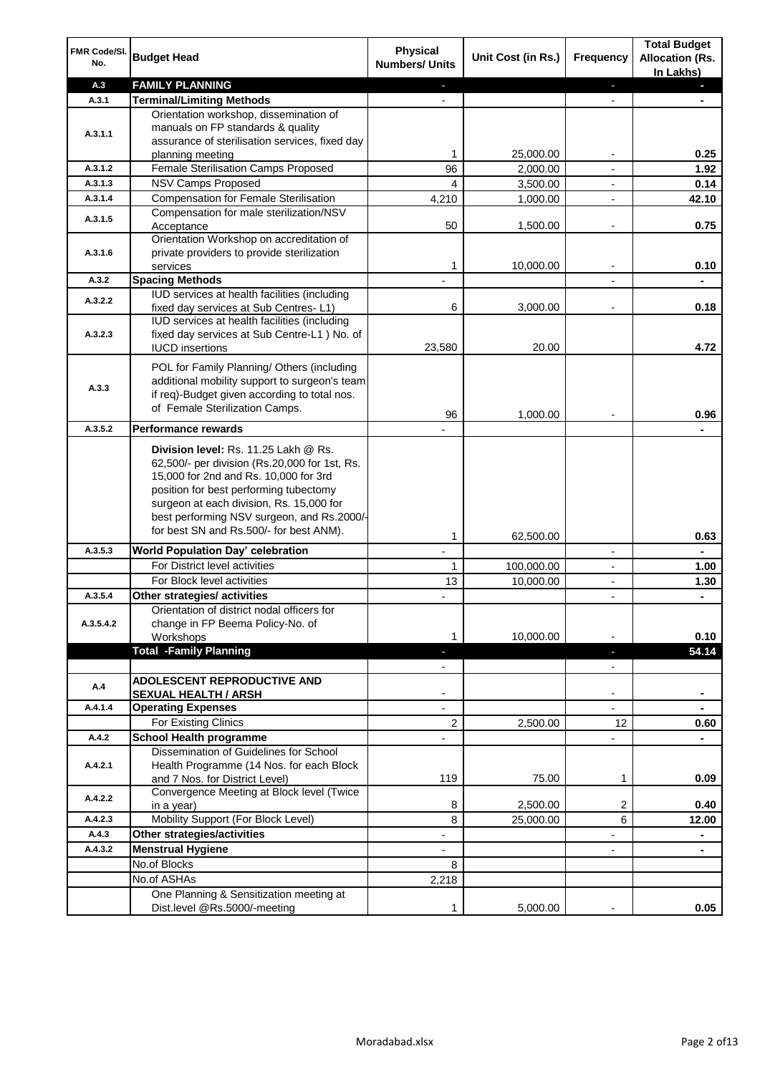| FMR Code/SI.<br>No. | <b>Budget Head</b>                                                                    | Physical<br><b>Numbers/ Units</b> | Unit Cost (in Rs.) | <b>Frequency</b>         | <b>Total Budget</b><br><b>Allocation (Rs.</b><br>In Lakhs) |
|---------------------|---------------------------------------------------------------------------------------|-----------------------------------|--------------------|--------------------------|------------------------------------------------------------|
| A.3                 | <b>FAMILY PLANNING</b>                                                                | $\overline{\phantom{a}}$          |                    | ÷.                       | a.                                                         |
| A.3.1               | <b>Terminal/Limiting Methods</b>                                                      |                                   |                    | $\blacksquare$           |                                                            |
|                     | Orientation workshop, dissemination of                                                |                                   |                    |                          |                                                            |
| A.3.1.1             | manuals on FP standards & quality<br>assurance of sterilisation services, fixed day   |                                   |                    |                          |                                                            |
|                     | planning meeting                                                                      | 1                                 | 25,000.00          | $\overline{\phantom{a}}$ | 0.25                                                       |
| A.3.1.2             | Female Sterilisation Camps Proposed                                                   | 96                                | 2,000.00           | $\overline{\phantom{a}}$ | 1.92                                                       |
| A.3.1.3             | <b>NSV Camps Proposed</b>                                                             | 4                                 | 3,500.00           | $\overline{\phantom{a}}$ | 0.14                                                       |
| A.3.1.4             | <b>Compensation for Female Sterilisation</b>                                          | 4,210                             | 1,000.00           |                          | 42.10                                                      |
|                     | Compensation for male sterilization/NSV                                               |                                   |                    |                          |                                                            |
| A.3.1.5             | Acceptance                                                                            | 50                                | 1,500.00           |                          | 0.75                                                       |
|                     | Orientation Workshop on accreditation of                                              |                                   |                    |                          |                                                            |
| A.3.1.6             | private providers to provide sterilization                                            |                                   |                    |                          |                                                            |
|                     | services                                                                              | 1                                 | 10,000.00          |                          | 0.10                                                       |
| A.3.2               | <b>Spacing Methods</b><br>IUD services at health facilities (including                |                                   |                    |                          |                                                            |
| A.3.2.2             | fixed day services at Sub Centres-L1)                                                 | 6                                 | 3,000.00           | $\overline{\phantom{a}}$ | 0.18                                                       |
|                     | IUD services at health facilities (including                                          |                                   |                    |                          |                                                            |
| A.3.2.3             | fixed day services at Sub Centre-L1 ) No. of                                          |                                   |                    |                          |                                                            |
|                     | <b>IUCD</b> insertions                                                                | 23,580                            | 20.00              |                          | 4.72                                                       |
|                     | POL for Family Planning/ Others (including                                            |                                   |                    |                          |                                                            |
|                     | additional mobility support to surgeon's team                                         |                                   |                    |                          |                                                            |
| A.3.3               | if req)-Budget given according to total nos.                                          |                                   |                    |                          |                                                            |
|                     | of Female Sterilization Camps.                                                        | 96                                | 1,000.00           |                          | 0.96                                                       |
| A.3.5.2             | <b>Performance rewards</b>                                                            |                                   |                    |                          |                                                            |
|                     |                                                                                       |                                   |                    |                          |                                                            |
|                     | Division level: Rs. 11.25 Lakh @ Rs.<br>62,500/- per division (Rs.20,000 for 1st, Rs. |                                   |                    |                          |                                                            |
|                     | 15,000 for 2nd and Rs. 10,000 for 3rd                                                 |                                   |                    |                          |                                                            |
|                     | position for best performing tubectomy                                                |                                   |                    |                          |                                                            |
|                     | surgeon at each division, Rs. 15,000 for                                              |                                   |                    |                          |                                                            |
|                     | best performing NSV surgeon, and Rs.2000/-                                            |                                   |                    |                          |                                                            |
|                     | for best SN and Rs.500/- for best ANM).                                               | 1                                 | 62,500.00          |                          | 0.63                                                       |
| A.3.5.3             | <b>World Population Day' celebration</b>                                              |                                   |                    | $\overline{\phantom{a}}$ |                                                            |
|                     | For District level activities                                                         | 1                                 | 100,000.00         | $\overline{\phantom{a}}$ | 1.00                                                       |
|                     | For Block level activities                                                            | 13                                | 10,000.00          |                          | 1.30                                                       |
| A.3.5.4             | Other strategies/ activities                                                          |                                   |                    | $\overline{\phantom{a}}$ | ٠                                                          |
|                     | Orientation of district nodal officers for                                            |                                   |                    |                          |                                                            |
| A.3.5.4.2           | change in FP Beema Policy-No. of                                                      |                                   |                    |                          |                                                            |
|                     | Workshops<br><b>Total -Family Planning</b>                                            | 1                                 | 10,000.00          |                          | 0.10<br>54.14                                              |
|                     |                                                                                       | ÷.<br>$\overline{\phantom{a}}$    |                    | P.<br>$\blacksquare$     |                                                            |
|                     | <b>ADOLESCENT REPRODUCTIVE AND</b>                                                    |                                   |                    |                          |                                                            |
| A.4                 | <b>SEXUAL HEALTH / ARSH</b>                                                           |                                   |                    | $\blacksquare$           |                                                            |
| A.4.1.4             | <b>Operating Expenses</b>                                                             |                                   |                    |                          |                                                            |
|                     | For Existing Clinics                                                                  | 2                                 | 2,500.00           | 12                       | 0.60                                                       |
| A.4.2               | <b>School Health programme</b>                                                        |                                   |                    |                          |                                                            |
|                     | Dissemination of Guidelines for School                                                |                                   |                    |                          |                                                            |
| A.4.2.1             | Health Programme (14 Nos. for each Block                                              |                                   |                    |                          |                                                            |
|                     | and 7 Nos. for District Level)                                                        | 119                               | 75.00              | 1                        | 0.09                                                       |
| A.4.2.2             | Convergence Meeting at Block level (Twice<br>in a year)                               | 8                                 | 2,500.00           | 2                        | 0.40                                                       |
| A.4.2.3             | Mobility Support (For Block Level)                                                    | 8                                 | 25,000.00          | 6                        | 12.00                                                      |
| A.4.3               | Other strategies/activities                                                           | $\overline{\phantom{a}}$          |                    | -                        | ۰                                                          |
| A.4.3.2             | <b>Menstrual Hygiene</b>                                                              | $\overline{\phantom{a}}$          |                    | $\blacksquare$           | $\blacksquare$                                             |
|                     | No.of Blocks                                                                          | 8                                 |                    |                          |                                                            |
|                     | No.of ASHAs                                                                           | 2,218                             |                    |                          |                                                            |
|                     | One Planning & Sensitization meeting at                                               |                                   |                    |                          |                                                            |
|                     | Dist.level @Rs.5000/-meeting                                                          | 1                                 | 5,000.00           |                          | 0.05                                                       |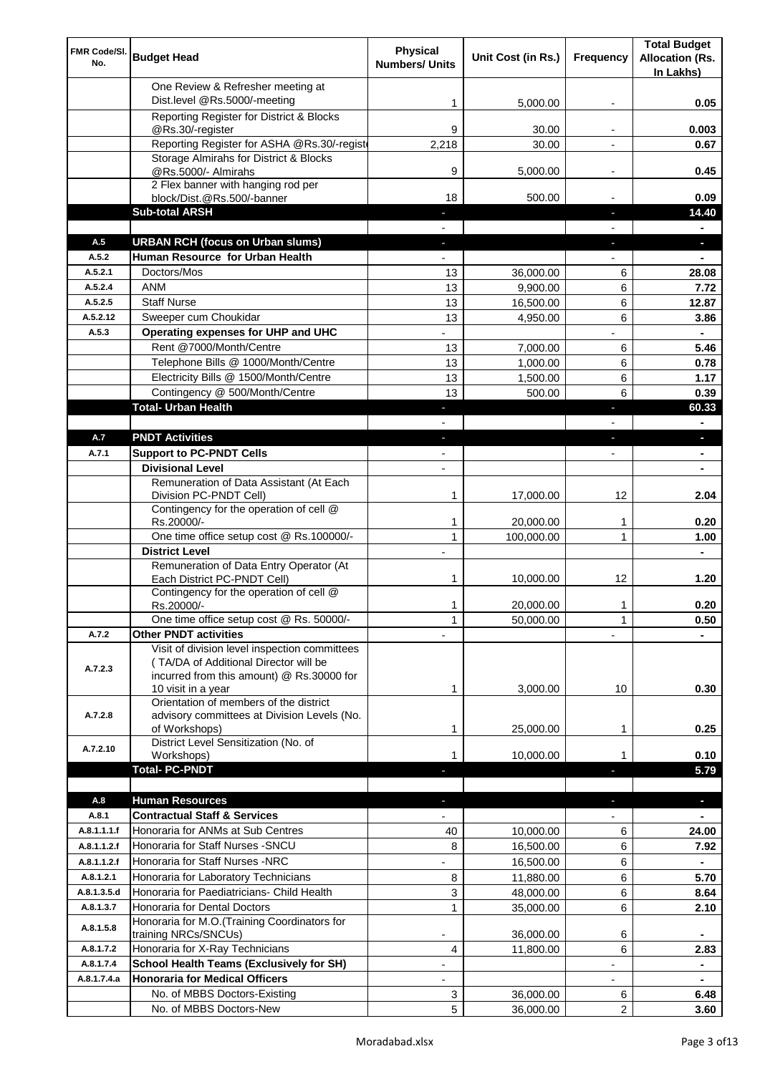| FMR Code/SI.<br>No.        | <b>Budget Head</b>                                                                                                                                        | <b>Physical</b><br><b>Numbers/ Units</b> | Unit Cost (in Rs.)     | Frequency                | <b>Total Budget</b><br><b>Allocation (Rs.</b><br>In Lakhs) |
|----------------------------|-----------------------------------------------------------------------------------------------------------------------------------------------------------|------------------------------------------|------------------------|--------------------------|------------------------------------------------------------|
|                            | One Review & Refresher meeting at<br>Dist.level @Rs.5000/-meeting                                                                                         | 1                                        | 5,000.00               |                          | 0.05                                                       |
|                            | Reporting Register for District & Blocks                                                                                                                  |                                          |                        |                          |                                                            |
|                            | @Rs.30/-register                                                                                                                                          | 9                                        | 30.00                  |                          | 0.003                                                      |
|                            | Reporting Register for ASHA @Rs.30/-regist                                                                                                                | 2,218                                    | 30.00                  |                          | 0.67                                                       |
|                            | Storage Almirahs for District & Blocks<br>@Rs.5000/- Almirahs                                                                                             | 9                                        | 5,000.00               | $\overline{\phantom{a}}$ | 0.45                                                       |
|                            | 2 Flex banner with hanging rod per                                                                                                                        |                                          |                        |                          |                                                            |
|                            | block/Dist.@Rs.500/-banner                                                                                                                                | 18                                       | 500.00                 |                          | 0.09                                                       |
|                            | <b>Sub-total ARSH</b>                                                                                                                                     | $\sim$                                   |                        | $\sim$                   | 14.40                                                      |
| A.5                        | <b>URBAN RCH (focus on Urban slums)</b>                                                                                                                   |                                          |                        |                          | a.                                                         |
| A.5.2                      | Human Resource for Urban Health                                                                                                                           |                                          |                        |                          |                                                            |
| A.5.2.1                    | Doctors/Mos                                                                                                                                               | 13                                       | 36,000.00              | 6                        | 28.08                                                      |
| A.5.2.4                    | <b>ANM</b>                                                                                                                                                | 13                                       | 9,900.00               | 6                        | 7.72                                                       |
| A.5.2.5                    | <b>Staff Nurse</b>                                                                                                                                        | 13                                       | 16,500.00              | 6                        | 12.87                                                      |
| A.5.2.12<br>A.5.3          | Sweeper cum Choukidar<br>Operating expenses for UHP and UHC                                                                                               | 13                                       | 4,950.00               | 6                        | 3.86<br>$\blacksquare$                                     |
|                            | Rent @7000/Month/Centre                                                                                                                                   | 13                                       | 7,000.00               | 6                        | 5.46                                                       |
|                            | Telephone Bills @ 1000/Month/Centre                                                                                                                       | 13                                       | 1,000.00               | 6                        | 0.78                                                       |
|                            | Electricity Bills @ 1500/Month/Centre                                                                                                                     | 13                                       | 1,500.00               | 6                        | 1.17                                                       |
|                            | Contingency @ 500/Month/Centre                                                                                                                            | 13                                       | 500.00                 | 6                        | 0.39                                                       |
|                            | <b>Total- Urban Health</b>                                                                                                                                | ٠                                        |                        | ×                        | 60.33                                                      |
|                            |                                                                                                                                                           |                                          |                        |                          | $\blacksquare$                                             |
| A.7                        | <b>PNDT Activities</b>                                                                                                                                    | ٠                                        |                        | ٠                        | ٠                                                          |
| A.7.1                      | <b>Support to PC-PNDT Cells</b>                                                                                                                           | $\blacksquare$                           |                        | $\blacksquare$           | $\blacksquare$                                             |
|                            | <b>Divisional Level</b>                                                                                                                                   | $\blacksquare$                           |                        |                          |                                                            |
|                            | Remuneration of Data Assistant (At Each                                                                                                                   |                                          |                        |                          |                                                            |
|                            | Division PC-PNDT Cell)                                                                                                                                    | 1                                        | 17,000.00              | 12                       | 2.04                                                       |
|                            | Contingency for the operation of cell @<br>Rs.20000/-                                                                                                     | 1                                        | 20,000.00              | 1                        | 0.20                                                       |
|                            | One time office setup cost @ Rs.100000/-                                                                                                                  | $\mathbf{1}$                             | 100,000.00             | 1                        | 1.00                                                       |
|                            | <b>District Level</b>                                                                                                                                     |                                          |                        |                          |                                                            |
|                            | Remuneration of Data Entry Operator (At<br>Each District PC-PNDT Cell)                                                                                    | 1                                        | 10,000.00              | 12                       | 1.20                                                       |
|                            | Contingency for the operation of cell @<br>Rs.20000/-                                                                                                     | 1                                        | 20,000.00              | 1                        | 0.20                                                       |
|                            | One time office setup cost @ Rs. 50000/-                                                                                                                  | $\mathbf{1}$                             | 50,000.00              | 1                        | 0.50                                                       |
| A.7.2                      | <b>Other PNDT activities</b>                                                                                                                              |                                          |                        |                          |                                                            |
| A.7.2.3                    | Visit of division level inspection committees<br>(TA/DA of Additional Director will be<br>incurred from this amount) @ Rs.30000 for<br>10 visit in a year | 1                                        | 3,000.00               | 10                       | 0.30                                                       |
| A.7.2.8                    | Orientation of members of the district<br>advisory committees at Division Levels (No.<br>of Workshops)                                                    | 1                                        | 25,000.00              | 1                        | 0.25                                                       |
|                            | District Level Sensitization (No. of                                                                                                                      |                                          |                        |                          |                                                            |
| A.7.2.10                   | Workshops)                                                                                                                                                | 1                                        | 10,000.00              |                          | 0.10                                                       |
|                            | <b>Total- PC-PNDT</b>                                                                                                                                     |                                          |                        |                          | 5.79                                                       |
|                            |                                                                                                                                                           |                                          |                        |                          |                                                            |
| A.8                        | <b>Human Resources</b>                                                                                                                                    |                                          |                        |                          | a,                                                         |
| A.8.1                      | <b>Contractual Staff &amp; Services</b>                                                                                                                   |                                          |                        |                          |                                                            |
| A.8.1.1.1.f<br>A.8.1.1.2.f | Honoraria for ANMs at Sub Centres<br>Honoraria for Staff Nurses - SNCU                                                                                    | 40                                       | 10,000.00              | 6                        | 24.00                                                      |
|                            |                                                                                                                                                           | 8                                        | 16,500.00              | 6                        | 7.92                                                       |
| A.8.1.1.2.f                | Honoraria for Staff Nurses -NRC                                                                                                                           |                                          | 16,500.00              | 6                        | $\blacksquare$                                             |
| A.8.1.2.1<br>A.8.1.3.5.d   | Honoraria for Laboratory Technicians<br>Honoraria for Paediatricians- Child Health                                                                        | 8                                        | 11,880.00              | 6                        | 5.70                                                       |
| A.8.1.3.7                  | Honoraria for Dental Doctors                                                                                                                              | 3<br>$\mathbf{1}$                        | 48,000.00<br>35,000.00 | 6<br>6                   | 8.64<br>2.10                                               |
|                            | Honoraria for M.O. (Training Coordinators for                                                                                                             |                                          |                        |                          |                                                            |
| A.8.1.5.8                  | training NRCs/SNCUs)                                                                                                                                      |                                          | 36,000.00              | 6                        |                                                            |
| A.8.1.7.2                  | Honoraria for X-Ray Technicians                                                                                                                           | 4                                        | 11,800.00              | 6                        | 2.83                                                       |
| A.8.1.7.4                  | <b>School Health Teams (Exclusively for SH)</b>                                                                                                           |                                          |                        |                          | $\blacksquare$                                             |
| A.8.1.7.4.a                | <b>Honoraria for Medical Officers</b>                                                                                                                     |                                          |                        |                          | ۰                                                          |
|                            | No. of MBBS Doctors-Existing<br>No. of MBBS Doctors-New                                                                                                   | 3<br>5                                   | 36,000.00              | 6<br>2                   | 6.48<br>3.60                                               |
|                            |                                                                                                                                                           |                                          | 36,000.00              |                          |                                                            |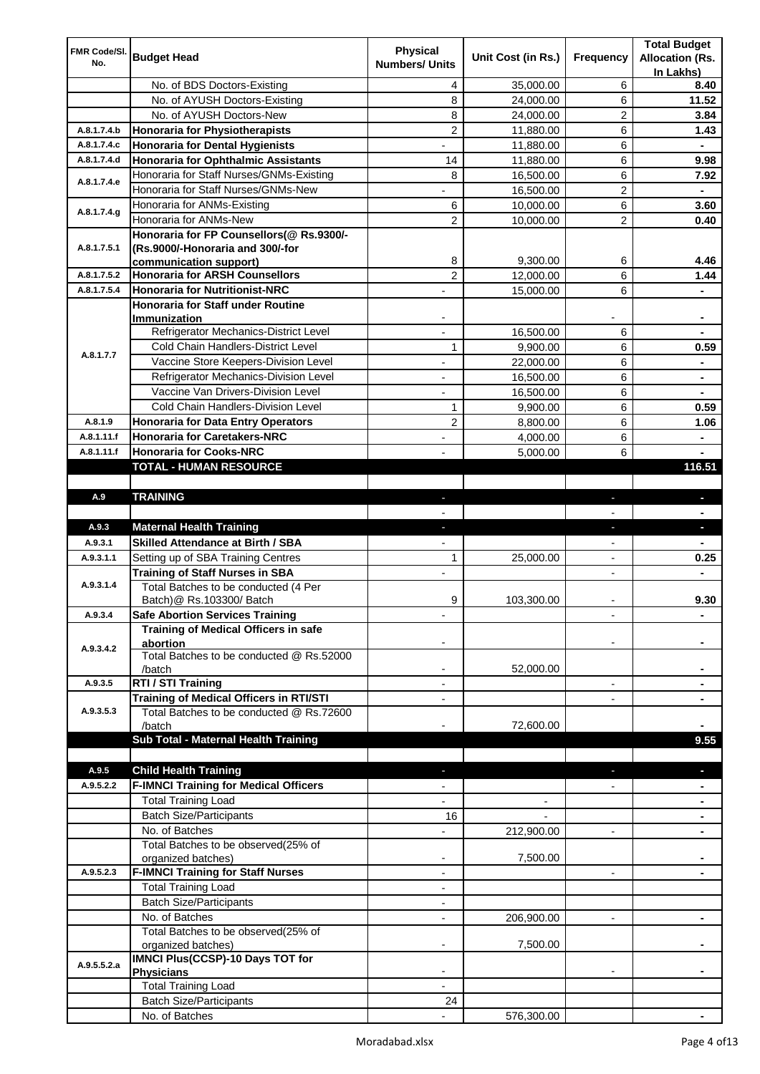|                     |                                                                 | <b>Physical</b>          |                    |                          | <b>Total Budget</b>    |
|---------------------|-----------------------------------------------------------------|--------------------------|--------------------|--------------------------|------------------------|
| FMR Code/SI.<br>No. | <b>Budget Head</b>                                              | <b>Numbers/ Units</b>    | Unit Cost (in Rs.) | Frequency                | <b>Allocation (Rs.</b> |
|                     |                                                                 |                          |                    |                          | In Lakhs)              |
|                     | No. of BDS Doctors-Existing                                     | 4                        | 35,000.00          | 6                        | 8.40                   |
|                     | No. of AYUSH Doctors-Existing                                   | 8                        | 24,000.00          | 6                        | 11.52                  |
|                     | No. of AYUSH Doctors-New                                        | 8                        | 24,000.00          | 2                        | 3.84                   |
| A.8.1.7.4.b         | <b>Honoraria for Physiotherapists</b>                           | $\overline{2}$           | 11,880.00          | 6                        | 1.43                   |
| A.8.1.7.4.c         | <b>Honoraria for Dental Hygienists</b>                          |                          | 11,880.00          | 6                        |                        |
| A.8.1.7.4.d         | <b>Honoraria for Ophthalmic Assistants</b>                      | 14                       | 11,880.00          | 6                        | 9.98                   |
| A.8.1.7.4.e         | Honoraria for Staff Nurses/GNMs-Existing                        | 8                        | 16,500.00          | 6                        | 7.92                   |
|                     | Honoraria for Staff Nurses/GNMs-New                             |                          | 16,500.00          | $\overline{c}$           |                        |
| A.8.1.7.4.g         | Honoraria for ANMs-Existing                                     | 6                        | 10,000.00          | 6                        | 3.60                   |
|                     | Honoraria for ANMs-New                                          | 2                        | 10,000.00          | 2                        | 0.40                   |
|                     | Honoraria for FP Counsellors(@ Rs.9300/-                        |                          |                    |                          |                        |
| A.8.1.7.5.1         | (Rs.9000/-Honoraria and 300/-for                                | 8                        | 9,300.00           | 6                        | 4.46                   |
| A.8.1.7.5.2         | communication support)<br><b>Honoraria for ARSH Counsellors</b> | $\overline{c}$           | 12,000.00          | 6                        | 1.44                   |
| A.8.1.7.5.4         | <b>Honoraria for Nutritionist-NRC</b>                           |                          |                    | 6                        |                        |
|                     | <b>Honoraria for Staff under Routine</b>                        |                          | 15,000.00          |                          |                        |
|                     | Immunization                                                    |                          |                    |                          |                        |
|                     | Refrigerator Mechanics-District Level                           |                          | 16,500.00          | 6                        |                        |
|                     | Cold Chain Handlers-District Level                              | 1                        | 9,900.00           | 6                        | 0.59                   |
| A.8.1.7.7           | Vaccine Store Keepers-Division Level                            |                          | 22,000.00          | 6                        |                        |
|                     | Refrigerator Mechanics-Division Level                           | $\blacksquare$           | 16,500.00          | 6                        | ۰                      |
|                     | Vaccine Van Drivers-Division Level                              |                          |                    |                          |                        |
|                     | Cold Chain Handlers-Division Level                              | $\overline{\phantom{0}}$ | 16,500.00          | 6                        | ۰                      |
|                     |                                                                 | 1                        | 9,900.00           | 6                        | 0.59                   |
| A.8.1.9             | <b>Honoraria for Data Entry Operators</b>                       | 2                        | 8,800.00           | 6                        | 1.06                   |
| A.8.1.11.f          | <b>Honoraria for Caretakers-NRC</b>                             | $\blacksquare$           | 4,000.00           | 6                        | ٠                      |
| A.8.1.11.f          | <b>Honoraria for Cooks-NRC</b>                                  |                          | 5,000.00           | 6                        |                        |
|                     | TOTAL - HUMAN RESOURCE                                          |                          |                    |                          | 116.51                 |
|                     |                                                                 |                          |                    |                          |                        |
| A.9                 | <b>TRAINING</b>                                                 | ٠                        |                    | ٠                        | $\blacksquare$         |
| A.9.3               | <b>Maternal Health Training</b>                                 |                          |                    |                          |                        |
| A.9.3.1             | <b>Skilled Attendance at Birth / SBA</b>                        | ٠                        |                    | ٠                        | ٠                      |
|                     |                                                                 |                          |                    |                          |                        |
|                     |                                                                 |                          |                    |                          |                        |
| A.9.3.1.1           | Setting up of SBA Training Centres                              | 1                        | 25,000.00          | $\overline{\phantom{a}}$ | 0.25                   |
|                     | <b>Training of Staff Nurses in SBA</b>                          | $\overline{\phantom{a}}$ |                    | $\overline{\phantom{0}}$ |                        |
| A.9.3.1.4           | Total Batches to be conducted (4 Per                            |                          |                    |                          |                        |
|                     | Batch) @ Rs.103300/ Batch                                       | 9                        | 103,300.00         |                          | 9.30                   |
| A.9.3.4             | <b>Safe Abortion Services Training</b>                          |                          |                    |                          |                        |
|                     | Training of Medical Officers in safe                            |                          |                    |                          |                        |
| A.9.3.4.2           | abortion<br>Total Batches to be conducted @ Rs.52000            |                          |                    |                          |                        |
|                     | /batch                                                          |                          | 52,000.00          |                          |                        |
| A.9.3.5             | RTI / STI Training                                              |                          |                    | $\overline{a}$           |                        |
|                     | Training of Medical Officers in RTI/STI                         |                          |                    |                          |                        |
| A.9.3.5.3           | Total Batches to be conducted @ Rs.72600                        |                          |                    |                          |                        |
|                     | /batch                                                          |                          | 72,600.00          |                          |                        |
|                     | Sub Total - Maternal Health Training                            |                          |                    |                          | 9.55                   |
|                     |                                                                 |                          |                    |                          |                        |
| A.9.5               | <b>Child Health Training</b>                                    |                          |                    |                          |                        |
| A.9.5.2.2           | <b>F-IMNCI Training for Medical Officers</b>                    |                          |                    |                          |                        |
|                     | <b>Total Training Load</b>                                      |                          |                    |                          |                        |
|                     | <b>Batch Size/Participants</b>                                  | 16                       |                    |                          |                        |
|                     | No. of Batches                                                  |                          | 212,900.00         | $\overline{a}$           |                        |
|                     | Total Batches to be observed(25% of                             |                          |                    |                          |                        |
|                     | organized batches)                                              | $\overline{\phantom{a}}$ | 7,500.00           |                          |                        |
| A.9.5.2.3           | <b>F-IMNCI Training for Staff Nurses</b>                        | $\overline{\phantom{a}}$ |                    | $\overline{\phantom{a}}$ | ۰                      |
|                     | <b>Total Training Load</b>                                      | $\overline{\phantom{a}}$ |                    |                          |                        |
|                     | <b>Batch Size/Participants</b>                                  |                          |                    |                          |                        |
|                     | No. of Batches                                                  | $\overline{\phantom{a}}$ | 206,900.00         | $\overline{\phantom{a}}$ | ۰                      |
|                     | Total Batches to be observed(25% of                             |                          |                    |                          |                        |
|                     | organized batches)                                              |                          | 7,500.00           |                          |                        |
| A.9.5.5.2.a         | IMNCI Plus(CCSP)-10 Days TOT for                                |                          |                    |                          |                        |
|                     | <b>Physicians</b>                                               |                          |                    |                          |                        |
|                     | <b>Total Training Load</b>                                      |                          |                    |                          |                        |
|                     | <b>Batch Size/Participants</b><br>No. of Batches                | 24                       | 576,300.00         |                          |                        |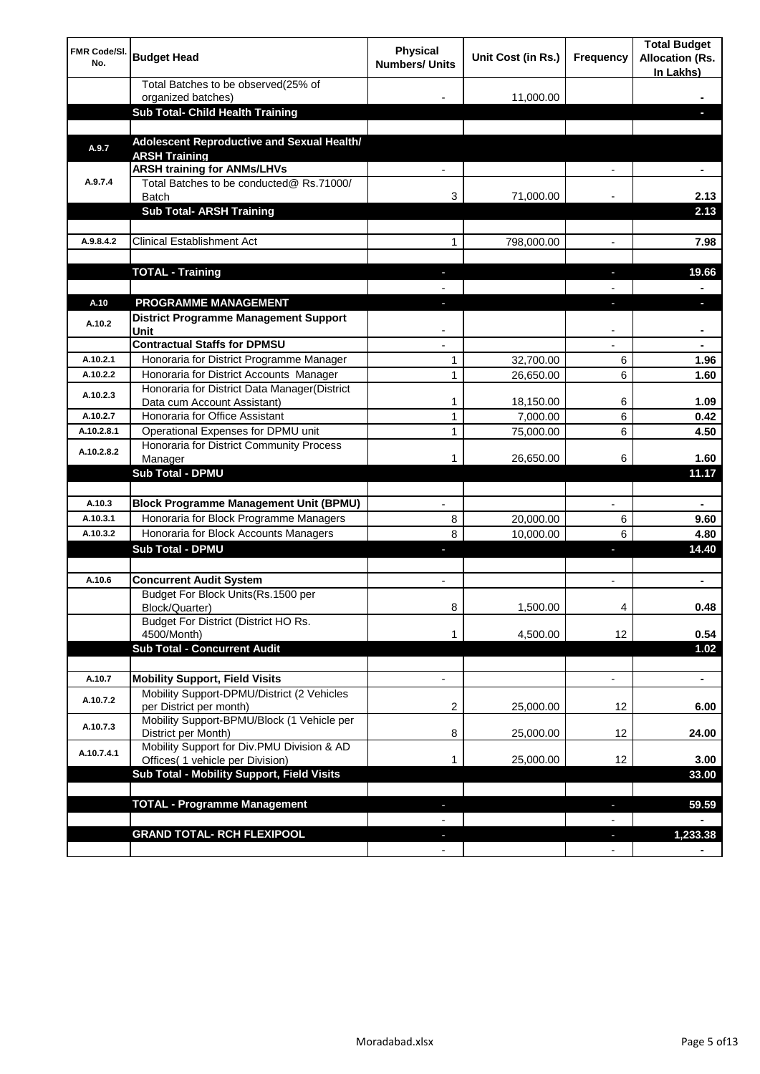| <b>FMR Code/SI.</b><br>No. | <b>Budget Head</b>                                                          | Physical<br><b>Numbers/ Units</b> | Unit Cost (in Rs.) | Frequency                | <b>Total Budget</b><br><b>Allocation (Rs.</b><br>In Lakhs) |
|----------------------------|-----------------------------------------------------------------------------|-----------------------------------|--------------------|--------------------------|------------------------------------------------------------|
|                            | Total Batches to be observed(25% of                                         |                                   |                    |                          |                                                            |
|                            | organized batches)<br>Sub Total- Child Health Training                      |                                   | 11,000.00          |                          |                                                            |
|                            |                                                                             |                                   |                    |                          |                                                            |
| A.9.7                      | Adolescent Reproductive and Sexual Health/<br><b>ARSH Training</b>          |                                   |                    |                          |                                                            |
|                            | <b>ARSH training for ANMs/LHVs</b>                                          |                                   |                    |                          |                                                            |
| A.9.7.4                    | Total Batches to be conducted@ Rs.71000/<br><b>Batch</b>                    | 3                                 | 71,000.00          |                          | 2.13                                                       |
|                            | <b>Sub Total- ARSH Training</b>                                             |                                   |                    |                          | 2.13                                                       |
|                            |                                                                             |                                   |                    |                          |                                                            |
| A.9.8.4.2                  | <b>Clinical Establishment Act</b>                                           | 1                                 | 798,000.00         |                          | 7.98                                                       |
|                            | <b>TOTAL - Training</b>                                                     |                                   |                    |                          | 19.66                                                      |
|                            |                                                                             |                                   |                    |                          |                                                            |
| A.10                       | <b>PROGRAMME MANAGEMENT</b>                                                 |                                   |                    |                          |                                                            |
| A.10.2                     | District Programme Management Support<br>Unit                               |                                   |                    |                          |                                                            |
|                            | <b>Contractual Staffs for DPMSU</b>                                         |                                   |                    |                          |                                                            |
| A.10.2.1                   | Honoraria for District Programme Manager                                    | 1                                 | 32,700.00          | 6                        | 1.96                                                       |
| A.10.2.2                   | Honoraria for District Accounts Manager                                     | 1                                 | 26,650.00          | 6                        | 1.60                                                       |
| A.10.2.3                   | Honoraria for District Data Manager(District<br>Data cum Account Assistant) | 1                                 | 18,150.00          | 6                        | 1.09                                                       |
| A.10.2.7                   | Honoraria for Office Assistant                                              | 1                                 | 7,000.00           | 6                        | 0.42                                                       |
| A.10.2.8.1                 | Operational Expenses for DPMU unit                                          | 1                                 | 75,000.00          | 6                        | 4.50                                                       |
| A.10.2.8.2                 | Honoraria for District Community Process<br>Manager                         | 1                                 | 26,650.00          | 6                        | 1.60                                                       |
|                            | Sub Total - DPMU                                                            |                                   |                    |                          | 11.17                                                      |
|                            |                                                                             |                                   |                    |                          |                                                            |
| A.10.3                     | <b>Block Programme Management Unit (BPMU)</b>                               | $\blacksquare$                    |                    | $\overline{\phantom{a}}$ | $\blacksquare$                                             |
| A.10.3.1                   | Honoraria for Block Programme Managers                                      | 8                                 | 20,000.00          | 6                        | 9.60                                                       |
| A.10.3.2                   | Honoraria for Block Accounts Managers                                       | 8                                 | 10,000.00          | 6                        | 4.80                                                       |
|                            | <b>Sub Total - DPMU</b>                                                     | J,                                |                    | J,                       | 14.40                                                      |
| A.10.6                     | <b>Concurrent Audit System</b>                                              | $\blacksquare$                    |                    | $\blacksquare$           |                                                            |
|                            | Budget For Block Units(Rs. 1500 per<br>Block/Quarter)                       | 8                                 | 1,500.00           | 4                        | ۰<br>0.48                                                  |
|                            | Budget For District (District HO Rs.                                        |                                   |                    |                          |                                                            |
|                            | 4500/Month)                                                                 | 1                                 | 4,500.00           | 12                       | 0.54                                                       |
|                            | <b>Sub Total - Concurrent Audit</b>                                         |                                   |                    |                          | 1.02                                                       |
| A.10.7                     | <b>Mobility Support, Field Visits</b>                                       | $\overline{\phantom{a}}$          |                    | $\overline{\phantom{a}}$ | ۰                                                          |
| A.10.7.2                   | Mobility Support-DPMU/District (2 Vehicles<br>per District per month)       | 2                                 | 25,000.00          | 12                       | 6.00                                                       |
|                            | Mobility Support-BPMU/Block (1 Vehicle per                                  |                                   |                    |                          |                                                            |
| A.10.7.3                   | District per Month)<br>Mobility Support for Div.PMU Division & AD           | 8                                 | 25,000.00          | 12                       | 24.00                                                      |
| A.10.7.4.1                 | Offices( 1 vehicle per Division)                                            | 1                                 | 25,000.00          | 12                       | 3.00                                                       |
|                            | Sub Total - Mobility Support, Field Visits                                  |                                   |                    |                          | 33.00                                                      |
|                            |                                                                             |                                   |                    |                          |                                                            |
|                            | <b>TOTAL - Programme Management</b>                                         |                                   |                    | ı                        | 59.59                                                      |
|                            | <b>GRAND TOTAL- RCH FLEXIPOOL</b>                                           | ٠                                 |                    | $\overline{\phantom{a}}$ | 1,233.38                                                   |
|                            |                                                                             | $\blacksquare$                    |                    | $\overline{\phantom{a}}$ |                                                            |
|                            |                                                                             |                                   |                    |                          |                                                            |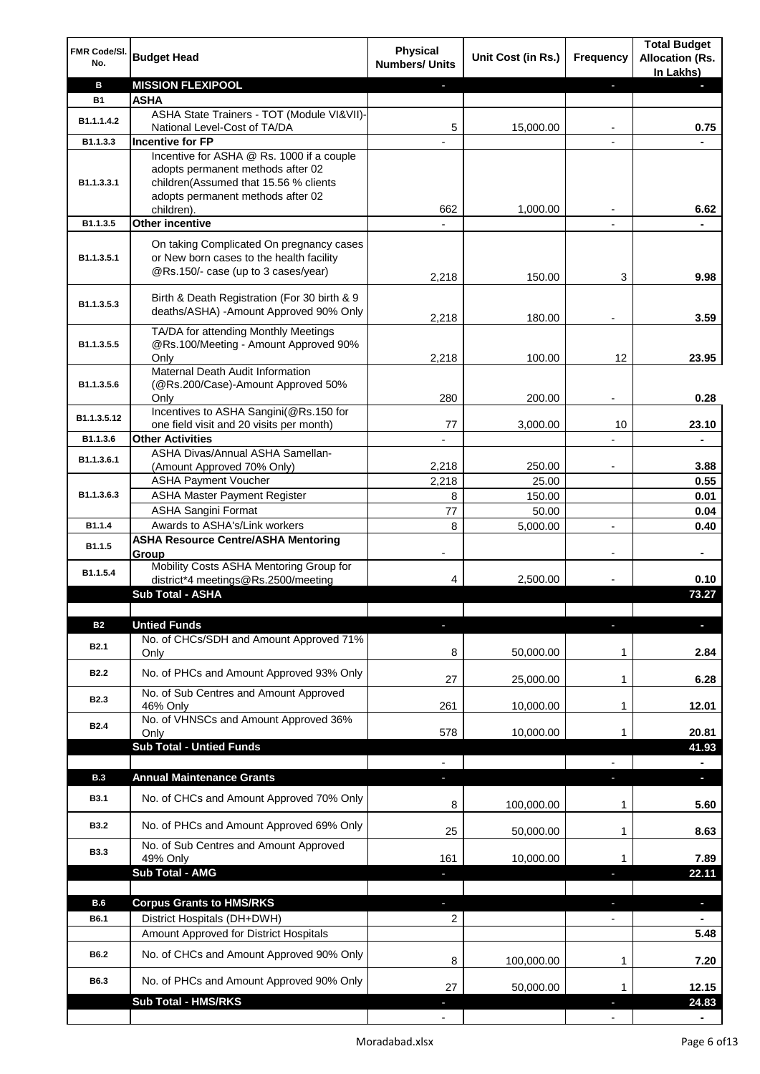| FMR Code/SI.<br>No.     | <b>Budget Head</b>                                                                                                          | <b>Physical</b><br><b>Numbers/ Units</b> | Unit Cost (in Rs.) | Frequency                | <b>Total Budget</b><br><b>Allocation (Rs.</b><br>In Lakhs) |
|-------------------------|-----------------------------------------------------------------------------------------------------------------------------|------------------------------------------|--------------------|--------------------------|------------------------------------------------------------|
| в                       | <b>MISSION FLEXIPOOL</b>                                                                                                    |                                          |                    | J,                       |                                                            |
| <b>B1</b>               | <b>ASHA</b>                                                                                                                 |                                          |                    |                          |                                                            |
| B1.1.1.4.2              | ASHA State Trainers - TOT (Module VI&VII)-                                                                                  |                                          |                    |                          |                                                            |
|                         | National Level-Cost of TA/DA                                                                                                | 5                                        | 15,000.00          |                          | 0.75                                                       |
| B1.1.3.3                | <b>Incentive for FP</b><br>Incentive for ASHA @ Rs. 1000 if a couple                                                        |                                          |                    |                          |                                                            |
| B1.1.3.3.1              | adopts permanent methods after 02<br>children(Assumed that 15.56 % clients<br>adopts permanent methods after 02             |                                          |                    |                          |                                                            |
| B1.1.3.5                | children).<br><b>Other incentive</b>                                                                                        | 662                                      | 1,000.00           |                          | 6.62                                                       |
|                         |                                                                                                                             |                                          |                    | $\blacksquare$           |                                                            |
| B1.1.3.5.1              | On taking Complicated On pregnancy cases<br>or New born cases to the health facility<br>@Rs.150/- case (up to 3 cases/year) | 2,218                                    | 150.00             | 3                        | 9.98                                                       |
| B1.1.3.5.3              | Birth & Death Registration (For 30 birth & 9<br>deaths/ASHA) - Amount Approved 90% Only                                     | 2,218                                    | 180.00             |                          | 3.59                                                       |
|                         | TA/DA for attending Monthly Meetings                                                                                        |                                          |                    |                          |                                                            |
| B1.1.3.5.5              | @Rs.100/Meeting - Amount Approved 90%                                                                                       |                                          |                    |                          |                                                            |
|                         | Only                                                                                                                        | 2,218                                    | 100.00             | 12                       | 23.95                                                      |
|                         | Maternal Death Audit Information                                                                                            |                                          |                    |                          |                                                            |
| B <sub>1.1</sub> .3.5.6 | (@Rs.200/Case)-Amount Approved 50%<br>Only                                                                                  | 280                                      | 200.00             |                          | 0.28                                                       |
|                         | Incentives to ASHA Sangini(@Rs.150 for                                                                                      |                                          |                    |                          |                                                            |
| B1.1.3.5.12             | one field visit and 20 visits per month)                                                                                    | 77                                       | 3,000.00           | 10                       | 23.10                                                      |
| B1.1.3.6                | <b>Other Activities</b>                                                                                                     |                                          |                    |                          | ä,                                                         |
| B1.1.3.6.1              | ASHA Divas/Annual ASHA Samellan-                                                                                            |                                          |                    |                          |                                                            |
|                         | (Amount Approved 70% Only)                                                                                                  | 2,218                                    | 250.00             |                          | 3.88                                                       |
|                         | <b>ASHA Payment Voucher</b>                                                                                                 | 2,218                                    | 25.00              |                          | 0.55                                                       |
| B1.1.3.6.3              | <b>ASHA Master Payment Register</b>                                                                                         | 8                                        | 150.00             |                          | 0.01                                                       |
|                         | <b>ASHA Sangini Format</b>                                                                                                  | 77                                       | 50.00              |                          | 0.04                                                       |
| B1.1.4                  | Awards to ASHA's/Link workers                                                                                               | 8                                        | 5,000.00           | $\overline{a}$           | 0.40                                                       |
| B1.1.5                  | <b>ASHA Resource Centre/ASHA Mentoring</b><br>Group<br>Mobility Costs ASHA Mentoring Group for                              | $\overline{\phantom{a}}$                 |                    | $\overline{\phantom{a}}$ | ٠                                                          |
| B1.1.5.4                | district*4 meetings@Rs.2500/meeting                                                                                         | 4                                        | 2,500.00           |                          | 0.10                                                       |
|                         | <b>Sub Total - ASHA</b>                                                                                                     |                                          |                    |                          | 73.27                                                      |
|                         |                                                                                                                             |                                          |                    |                          |                                                            |
| <b>B2</b>               | <b>Untied Funds</b>                                                                                                         | E.                                       |                    |                          |                                                            |
| B <sub>2.1</sub>        | No. of CHCs/SDH and Amount Approved 71%<br>Only                                                                             | 8                                        | 50,000.00          | 1                        | 2.84                                                       |
| <b>B2.2</b>             | No. of PHCs and Amount Approved 93% Only                                                                                    | 27                                       |                    | 1                        | 6.28                                                       |
|                         | No. of Sub Centres and Amount Approved                                                                                      |                                          | 25,000.00          |                          |                                                            |
| <b>B2.3</b>             | 46% Only                                                                                                                    | 261                                      | 10,000.00          | 1                        | 12.01                                                      |
| <b>B2.4</b>             | No. of VHNSCs and Amount Approved 36%                                                                                       |                                          |                    |                          |                                                            |
|                         | Only                                                                                                                        | 578                                      | 10,000.00          | 1                        | 20.81                                                      |
|                         | <b>Sub Total - Untied Funds</b>                                                                                             |                                          |                    |                          | 41.93                                                      |
|                         |                                                                                                                             |                                          |                    |                          |                                                            |
| <b>B.3</b>              | <b>Annual Maintenance Grants</b>                                                                                            | J,                                       |                    |                          | $\overline{\phantom{a}}$                                   |
| <b>B3.1</b>             | No. of CHCs and Amount Approved 70% Only                                                                                    | 8                                        | 100,000.00         | 1                        | 5.60                                                       |
| <b>B3.2</b>             | No. of PHCs and Amount Approved 69% Only                                                                                    | 25                                       | 50,000.00          | 1                        | 8.63                                                       |
| <b>B3.3</b>             | No. of Sub Centres and Amount Approved<br>49% Only                                                                          | 161                                      | 10,000.00          | 1                        | 7.89                                                       |
|                         | <b>Sub Total - AMG</b>                                                                                                      |                                          |                    | п                        | 22.11                                                      |
|                         |                                                                                                                             |                                          |                    |                          |                                                            |
| <b>B.6</b>              | <b>Corpus Grants to HMS/RKS</b>                                                                                             | J,                                       |                    | ı                        | $\overline{\phantom{a}}$                                   |
| B6.1                    | District Hospitals (DH+DWH)                                                                                                 | 2                                        |                    | $\overline{\phantom{0}}$ |                                                            |
|                         | Amount Approved for District Hospitals                                                                                      |                                          |                    |                          | 5.48                                                       |
| B6.2                    | No. of CHCs and Amount Approved 90% Only                                                                                    | 8                                        | 100,000.00         | 1                        | 7.20                                                       |
| B6.3                    | No. of PHCs and Amount Approved 90% Only                                                                                    | 27                                       | 50,000.00          | 1                        | 12.15                                                      |
|                         | <b>Sub Total - HMS/RKS</b>                                                                                                  |                                          |                    |                          | 24.83                                                      |
|                         |                                                                                                                             |                                          |                    |                          |                                                            |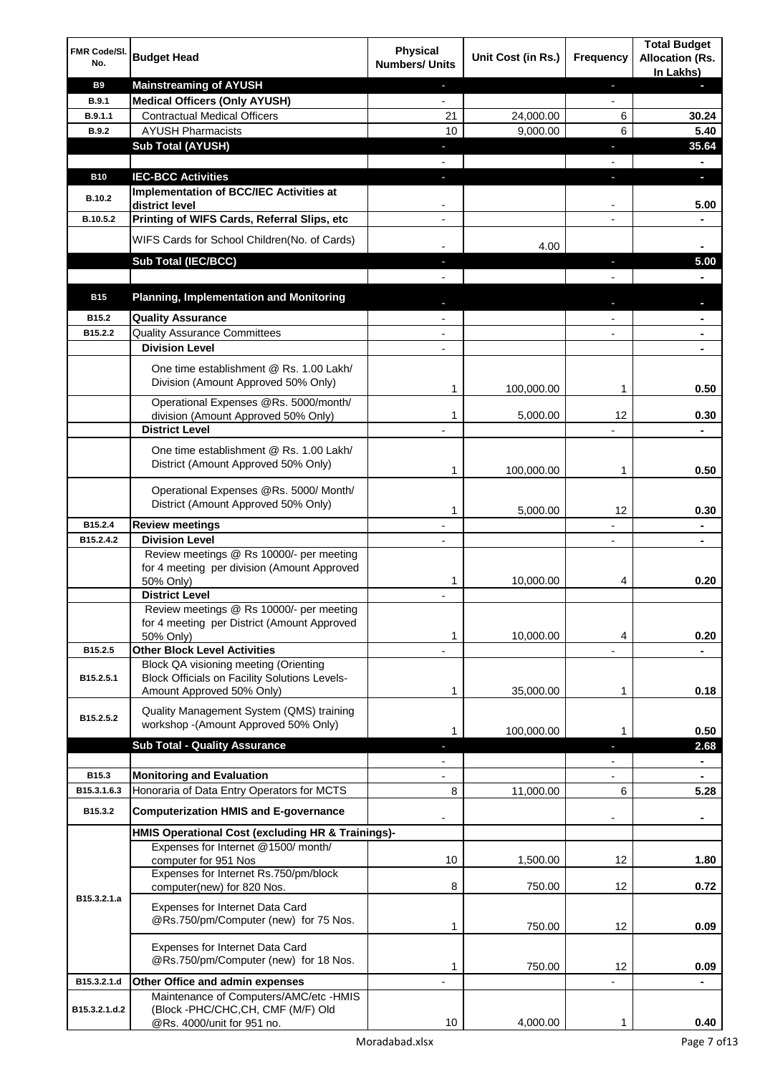| FMR Code/SI.<br>No. | <b>Budget Head</b>                                                                                                         | <b>Physical</b><br><b>Numbers/ Units</b> | Unit Cost (in Rs.) | <b>Frequency</b>         | <b>Total Budget</b><br><b>Allocation (Rs.</b> |
|---------------------|----------------------------------------------------------------------------------------------------------------------------|------------------------------------------|--------------------|--------------------------|-----------------------------------------------|
| <b>B9</b>           | <b>Mainstreaming of AYUSH</b>                                                                                              | $\blacksquare$                           |                    | ٠                        | In Lakhs)<br>н                                |
| <b>B.9.1</b>        | <b>Medical Officers (Only AYUSH)</b>                                                                                       | $\overline{\phantom{a}}$                 |                    | $\overline{\phantom{a}}$ |                                               |
| B.9.1.1             | <b>Contractual Medical Officers</b>                                                                                        | 21                                       | 24,000.00          | 6                        | 30.24                                         |
| <b>B.9.2</b>        | <b>AYUSH Pharmacists</b>                                                                                                   | 10                                       | 9,000.00           | 6                        | 5.40                                          |
|                     | <b>Sub Total (AYUSH)</b>                                                                                                   | ٠                                        |                    | J,                       | 35.64                                         |
|                     |                                                                                                                            |                                          |                    |                          |                                               |
| <b>B10</b>          | <b>IEC-BCC Activities</b>                                                                                                  | J,                                       |                    | J,                       | O.                                            |
| <b>B.10.2</b>       | Implementation of BCC/IEC Activities at                                                                                    |                                          |                    |                          |                                               |
| B.10.5.2            | district level<br>Printing of WIFS Cards, Referral Slips, etc                                                              |                                          |                    |                          | 5.00                                          |
|                     |                                                                                                                            |                                          |                    |                          |                                               |
|                     | WIFS Cards for School Children(No. of Cards)                                                                               |                                          | 4.00               |                          |                                               |
|                     | Sub Total (IEC/BCC)                                                                                                        | $\blacksquare$                           |                    | ٠                        | 5.00                                          |
|                     |                                                                                                                            |                                          |                    |                          |                                               |
| <b>B15</b>          | <b>Planning, Implementation and Monitoring</b>                                                                             |                                          |                    |                          |                                               |
| B15.2               | <b>Quality Assurance</b>                                                                                                   |                                          |                    |                          |                                               |
| B15.2.2             | <b>Quality Assurance Committees</b>                                                                                        |                                          |                    |                          |                                               |
|                     | <b>Division Level</b>                                                                                                      |                                          |                    |                          |                                               |
|                     | One time establishment @ Rs. 1.00 Lakh/<br>Division (Amount Approved 50% Only)                                             | 1                                        | 100,000.00         | 1                        | 0.50                                          |
|                     | Operational Expenses @Rs. 5000/month/                                                                                      |                                          |                    |                          |                                               |
|                     | division (Amount Approved 50% Only)                                                                                        | 1                                        | 5,000.00           | 12                       | 0.30                                          |
|                     | <b>District Level</b>                                                                                                      |                                          |                    |                          |                                               |
|                     | One time establishment @ Rs. 1.00 Lakh/<br>District (Amount Approved 50% Only)                                             | 1                                        | 100,000.00         | 1                        | 0.50                                          |
|                     | Operational Expenses @Rs. 5000/ Month/<br>District (Amount Approved 50% Only)                                              | 1                                        | 5,000.00           | 12                       | 0.30                                          |
| B15.2.4             | <b>Review meetings</b>                                                                                                     |                                          |                    |                          | $\blacksquare$                                |
| B15.2.4.2           | <b>Division Level</b>                                                                                                      |                                          |                    |                          |                                               |
|                     | Review meetings @ Rs 10000/- per meeting<br>for 4 meeting per division (Amount Approved<br>50% Only)                       | 1                                        | 10,000.00          | 4                        | 0.20                                          |
|                     | <b>District Level</b>                                                                                                      |                                          |                    |                          |                                               |
|                     | Review meetings @ Rs 10000/- per meeting<br>for 4 meeting per District (Amount Approved<br>50% Only)                       | 1                                        | 10,000.00          | 4                        | 0.20                                          |
| B15.2.5             | <b>Other Block Level Activities</b>                                                                                        |                                          |                    |                          |                                               |
| B15.2.5.1           | Block QA visioning meeting (Orienting<br><b>Block Officials on Facility Solutions Levels-</b><br>Amount Approved 50% Only) | 1                                        | 35,000.00          | 1                        | 0.18                                          |
|                     | Quality Management System (QMS) training                                                                                   |                                          |                    |                          |                                               |
| B15.2.5.2           | workshop - (Amount Approved 50% Only)                                                                                      | 1                                        | 100,000.00         | 1                        | 0.50                                          |
|                     | <b>Sub Total - Quality Assurance</b>                                                                                       | L                                        |                    | J.                       | 2.68                                          |
|                     |                                                                                                                            |                                          |                    |                          | $\blacksquare$                                |
| B15.3               | <b>Monitoring and Evaluation</b>                                                                                           |                                          |                    |                          | $\blacksquare$                                |
| B15.3.1.6.3         | Honoraria of Data Entry Operators for MCTS                                                                                 | 8                                        | 11,000.00          | 6                        | 5.28                                          |
| B15.3.2             | <b>Computerization HMIS and E-governance</b>                                                                               |                                          |                    |                          |                                               |
|                     | HMIS Operational Cost (excluding HR & Trainings)-                                                                          |                                          |                    |                          |                                               |
|                     | Expenses for Internet @1500/month/<br>computer for 951 Nos                                                                 | 10                                       | 1,500.00           | 12                       | 1.80                                          |
| B15.3.2.1.a         | Expenses for Internet Rs.750/pm/block<br>computer(new) for 820 Nos.                                                        | 8                                        | 750.00             | 12                       | 0.72                                          |
|                     | <b>Expenses for Internet Data Card</b><br>@Rs.750/pm/Computer (new) for 75 Nos.                                            | 1                                        | 750.00             | 12                       | 0.09                                          |
|                     | Expenses for Internet Data Card<br>@Rs.750/pm/Computer (new) for 18 Nos.                                                   | 1                                        | 750.00             | 12                       | 0.09                                          |
| B15.3.2.1.d         | Other Office and admin expenses                                                                                            |                                          |                    |                          |                                               |
| B15.3.2.1.d.2       | Maintenance of Computers/AMC/etc -HMIS<br>(Block -PHC/CHC, CH, CMF (M/F) Old<br>@Rs. 4000/unit for 951 no.                 | 10                                       | 4,000.00           | 1                        | 0.40                                          |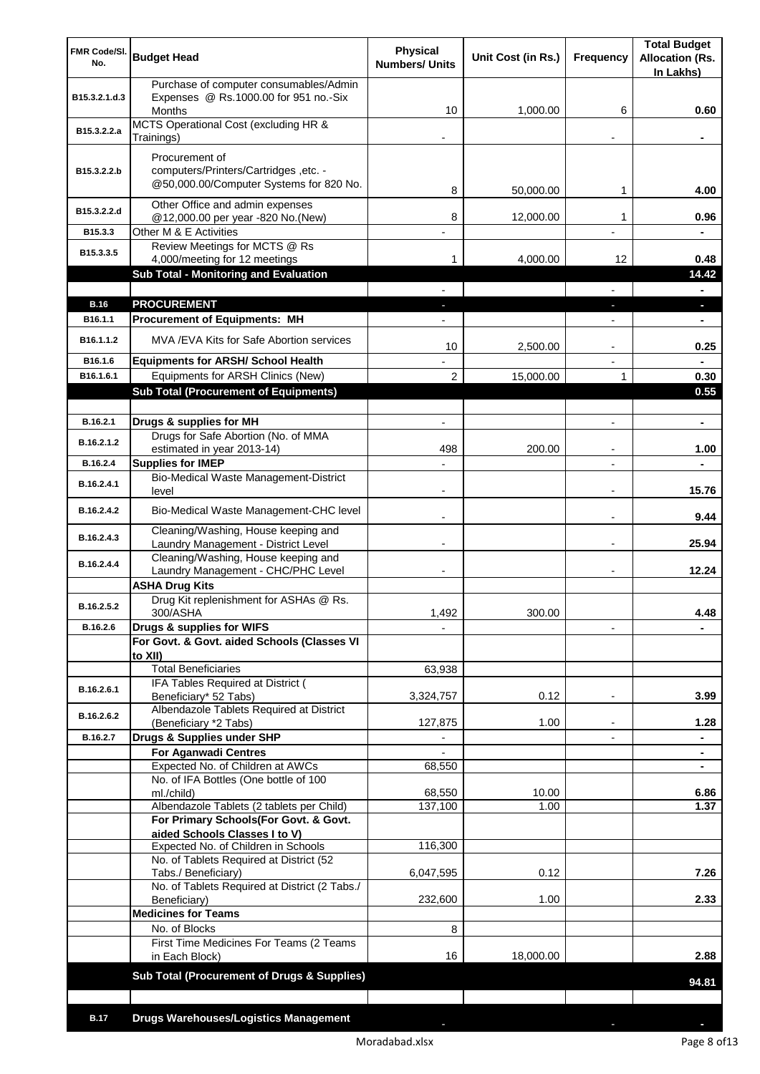| FMR Code/SI.<br>No.   | <b>Budget Head</b>                                                                               | <b>Physical</b><br><b>Numbers/ Units</b> | Unit Cost (in Rs.) | Frequency                     | <b>Total Budget</b><br><b>Allocation (Rs.</b><br>In Lakhs) |
|-----------------------|--------------------------------------------------------------------------------------------------|------------------------------------------|--------------------|-------------------------------|------------------------------------------------------------|
| B15.3.2.1.d.3         | Purchase of computer consumables/Admin<br>Expenses @ Rs.1000.00 for 951 no.-Six<br><b>Months</b> | 10                                       | 1,000.00           | 6                             | 0.60                                                       |
| B15.3.2.2.a           | MCTS Operational Cost (excluding HR &<br>Trainings)                                              |                                          |                    |                               |                                                            |
|                       | Procurement of                                                                                   |                                          |                    |                               |                                                            |
| B15.3.2.2.b           | computers/Printers/Cartridges, etc. -<br>@50,000.00/Computer Systems for 820 No.                 | 8                                        | 50,000.00          | 1                             | 4.00                                                       |
| B15.3.2.2.d           | Other Office and admin expenses<br>@12,000.00 per year -820 No.(New)                             | 8                                        | 12,000.00          | 1                             | 0.96                                                       |
| B15.3.3               | Other M & E Activities                                                                           | $\overline{a}$                           |                    | $\overline{a}$                | $\blacksquare$                                             |
| B15.3.3.5             | Review Meetings for MCTS @ Rs<br>4,000/meeting for 12 meetings                                   | 1.                                       | 4,000.00           | 12                            | 0.48                                                       |
|                       | <b>Sub Total - Monitoring and Evaluation</b>                                                     |                                          |                    |                               | 14.42                                                      |
|                       |                                                                                                  |                                          |                    |                               | ٠                                                          |
| <b>B.16</b>           | <b>PROCUREMENT</b>                                                                               |                                          |                    |                               | ٠                                                          |
| B <sub>16.1.1</sub>   | <b>Procurement of Equipments: MH</b>                                                             |                                          |                    |                               |                                                            |
| B <sub>16.1.1.2</sub> | MVA / EVA Kits for Safe Abortion services                                                        | 10                                       | 2,500.00           | $\overline{a}$                | 0.25                                                       |
| B16.1.6<br>B16.1.6.1  | <b>Equipments for ARSH/ School Health</b><br>Equipments for ARSH Clinics (New)                   | $\overline{2}$                           | 15,000.00          | 1                             | 0.30                                                       |
|                       | <b>Sub Total (Procurement of Equipments)</b>                                                     |                                          |                    |                               | 0.55                                                       |
|                       |                                                                                                  |                                          |                    |                               |                                                            |
| B.16.2.1              | Drugs & supplies for MH                                                                          | $\overline{\phantom{a}}$                 |                    | $\overline{a}$                | ۰                                                          |
| B.16.2.1.2            | Drugs for Safe Abortion (No. of MMA<br>estimated in year 2013-14)                                | 498                                      | 200.00             |                               | 1.00                                                       |
| B.16.2.4              | <b>Supplies for IMEP</b>                                                                         |                                          |                    |                               |                                                            |
| B.16.2.4.1            | Bio-Medical Waste Management-District<br>level                                                   |                                          |                    | $\overline{a}$                | 15.76                                                      |
| B.16.2.4.2            | Bio-Medical Waste Management-CHC level                                                           |                                          |                    |                               | 9.44                                                       |
| B.16.2.4.3            | Cleaning/Washing, House keeping and<br>Laundry Management - District Level                       |                                          |                    |                               | 25.94                                                      |
| B.16.2.4.4            | Cleaning/Washing, House keeping and<br>Laundry Management - CHC/PHC Level                        |                                          |                    |                               | 12.24                                                      |
|                       | <b>ASHA Drug Kits</b>                                                                            |                                          |                    |                               |                                                            |
| B.16.2.5.2            | Drug Kit replenishment for ASHAs @ Rs.<br>300/ASHA                                               | 1,492                                    | 300.00             |                               | 4.48                                                       |
| B.16.2.6              | Drugs & supplies for WIFS                                                                        |                                          |                    |                               |                                                            |
|                       | For Govt. & Govt. aided Schools (Classes VI<br>to XII)                                           |                                          |                    |                               |                                                            |
|                       | <b>Total Beneficiaries</b>                                                                       | 63,938                                   |                    |                               |                                                            |
| B.16.2.6.1            | IFA Tables Required at District (<br>Beneficiary* 52 Tabs)                                       | 3,324,757                                | 0.12               | $\overline{a}$                | 3.99                                                       |
| B.16.2.6.2            | Albendazole Tablets Required at District                                                         |                                          |                    |                               |                                                            |
| B.16.2.7              | (Beneficiary *2 Tabs)<br>Drugs & Supplies under SHP                                              | 127,875<br>$\blacksquare$                | 1.00               | ٠<br>$\overline{\phantom{0}}$ | 1.28<br>$\blacksquare$                                     |
|                       | <b>For Aganwadi Centres</b>                                                                      |                                          |                    |                               | ٠                                                          |
|                       | Expected No. of Children at AWCs                                                                 | 68,550                                   |                    |                               | ۰                                                          |
|                       | No. of IFA Bottles (One bottle of 100<br>ml./child)                                              | 68,550                                   | 10.00              |                               | 6.86                                                       |
|                       | Albendazole Tablets (2 tablets per Child)                                                        | 137,100                                  | 1.00               |                               | 1.37                                                       |
|                       | For Primary Schools(For Govt. & Govt.                                                            |                                          |                    |                               |                                                            |
|                       | aided Schools Classes I to V)<br>Expected No. of Children in Schools                             | 116,300                                  |                    |                               |                                                            |
|                       | No. of Tablets Required at District (52                                                          |                                          |                    |                               |                                                            |
|                       | Tabs./ Beneficiary)<br>No. of Tablets Required at District (2 Tabs./                             | 6,047,595                                | 0.12               |                               | 7.26                                                       |
|                       | Beneficiary)                                                                                     | 232,600                                  | 1.00               |                               | 2.33                                                       |
|                       | <b>Medicines for Teams</b>                                                                       |                                          |                    |                               |                                                            |
|                       | No. of Blocks<br>First Time Medicines For Teams (2 Teams                                         | 8                                        |                    |                               |                                                            |
|                       | in Each Block)                                                                                   | 16                                       | 18,000.00          |                               | 2.88                                                       |
|                       | Sub Total (Procurement of Drugs & Supplies)                                                      |                                          |                    |                               | 94.81                                                      |
|                       |                                                                                                  |                                          |                    |                               |                                                            |
| <b>B.17</b>           | <b>Drugs Warehouses/Logistics Management</b>                                                     |                                          |                    |                               |                                                            |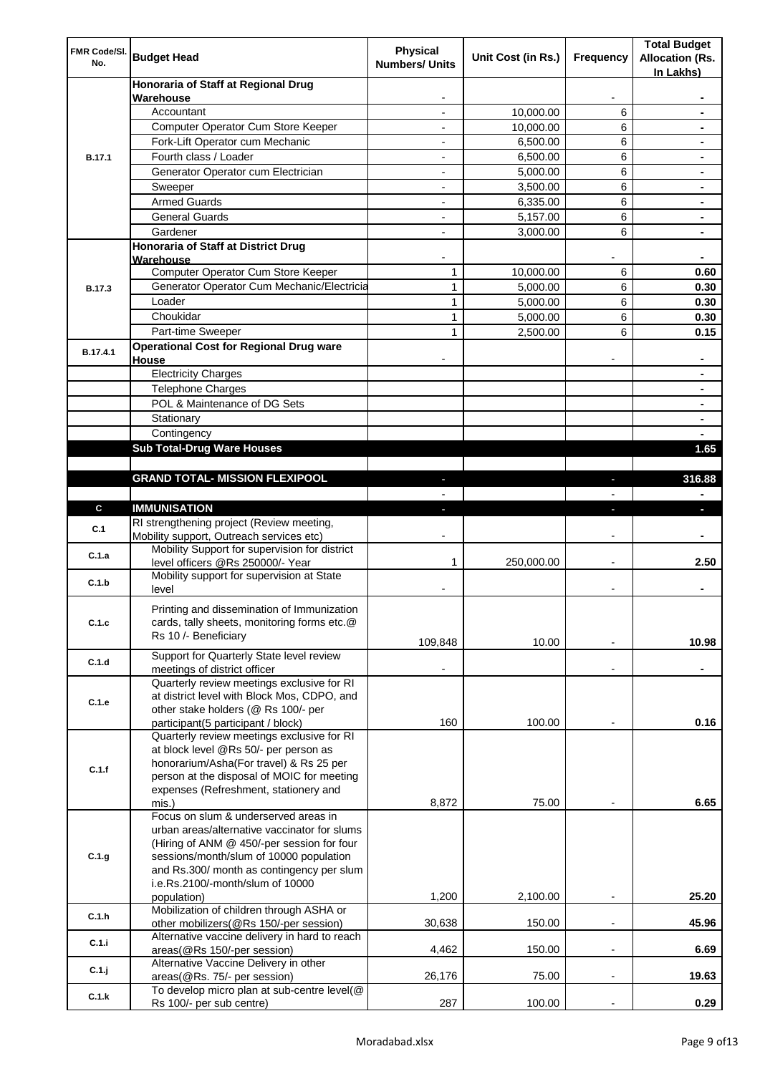| FMR Code/SI.<br>No. | <b>Budget Head</b>                                                                    | Physical<br><b>Numbers/ Units</b> | Unit Cost (in Rs.) | Frequency                | <b>Total Budget</b><br><b>Allocation (Rs.</b><br>In Lakhs) |
|---------------------|---------------------------------------------------------------------------------------|-----------------------------------|--------------------|--------------------------|------------------------------------------------------------|
|                     | Honoraria of Staff at Regional Drug                                                   |                                   |                    |                          |                                                            |
|                     | Warehouse<br>Accountant                                                               |                                   | 10,000.00          | 6                        |                                                            |
|                     | Computer Operator Cum Store Keeper                                                    |                                   | 10,000.00          | 6                        |                                                            |
|                     | Fork-Lift Operator cum Mechanic                                                       |                                   | 6,500.00           | 6                        |                                                            |
| <b>B.17.1</b>       | Fourth class / Loader                                                                 | $\overline{\phantom{0}}$          | 6,500.00           | 6                        |                                                            |
|                     | Generator Operator cum Electrician                                                    |                                   | 5,000.00           | 6                        |                                                            |
|                     | Sweeper                                                                               |                                   | 3,500.00           | 6                        |                                                            |
|                     | <b>Armed Guards</b>                                                                   | ٠                                 | 6,335.00           | 6                        |                                                            |
|                     | <b>General Guards</b>                                                                 | ٠                                 | 5,157.00           | 6                        | $\blacksquare$                                             |
|                     | Gardener                                                                              | $\overline{\phantom{0}}$          | 3,000.00           | 6                        | $\blacksquare$                                             |
|                     | Honoraria of Staff at District Drug<br>Warehouse                                      |                                   |                    |                          |                                                            |
|                     | Computer Operator Cum Store Keeper                                                    | 1                                 | 10,000.00          | 6                        | 0.60                                                       |
| <b>B.17.3</b>       | Generator Operator Cum Mechanic/Electricia                                            | 1                                 | 5,000.00           | 6                        | 0.30                                                       |
|                     | Loader                                                                                | 1                                 | 5,000.00           | 6                        | 0.30                                                       |
|                     | Choukidar                                                                             | 1                                 | 5,000.00           | 6                        | 0.30                                                       |
|                     | Part-time Sweeper                                                                     | $\mathbf{1}$                      | 2,500.00           | 6                        | 0.15                                                       |
| B.17.4.1            | <b>Operational Cost for Regional Drug ware</b><br>House                               |                                   |                    |                          |                                                            |
|                     | <b>Electricity Charges</b>                                                            |                                   |                    |                          |                                                            |
|                     | <b>Telephone Charges</b>                                                              |                                   |                    |                          |                                                            |
|                     | POL & Maintenance of DG Sets                                                          |                                   |                    |                          |                                                            |
|                     | Stationary                                                                            |                                   |                    |                          | $\blacksquare$                                             |
|                     | Contingency                                                                           |                                   |                    |                          |                                                            |
|                     | <b>Sub Total-Drug Ware Houses</b>                                                     |                                   |                    |                          | 1.65                                                       |
|                     |                                                                                       |                                   |                    |                          |                                                            |
|                     | <b>GRAND TOTAL- MISSION FLEXIPOOL</b>                                                 |                                   |                    |                          | 316.88                                                     |
|                     |                                                                                       |                                   |                    |                          |                                                            |
| $\mathbf{c}$        | <b>IMMUNISATION</b>                                                                   |                                   |                    |                          |                                                            |
| C.1                 | RI strengthening project (Review meeting,<br>Mobility support, Outreach services etc) |                                   |                    |                          |                                                            |
| C.1.a               | Mobility Support for supervision for district<br>level officers @Rs 250000/- Year     | 1                                 | 250,000.00         |                          | 2.50                                                       |
| C.1.b               | Mobility support for supervision at State<br>level                                    |                                   |                    |                          |                                                            |
|                     | Printing and dissemination of Immunization                                            |                                   |                    |                          |                                                            |
| C.1.c               | cards, tally sheets, monitoring forms etc.@<br>Rs 10 /- Beneficiary                   |                                   |                    |                          |                                                            |
|                     | Support for Quarterly State level review                                              | 109,848                           | 10.00              |                          | 10.98                                                      |
| C.1.d               | meetings of district officer<br>Quarterly review meetings exclusive for RI            |                                   |                    |                          |                                                            |
|                     | at district level with Block Mos, CDPO, and                                           |                                   |                    |                          |                                                            |
| C.1.e               | other stake holders (@ Rs 100/- per                                                   |                                   |                    |                          |                                                            |
|                     | participant(5 participant / block)                                                    | 160                               | 100.00             |                          | 0.16                                                       |
|                     | Quarterly review meetings exclusive for RI                                            |                                   |                    |                          |                                                            |
|                     | at block level @Rs 50/- per person as                                                 |                                   |                    |                          |                                                            |
| C.1.f               | honorarium/Asha(For travel) & Rs 25 per                                               |                                   |                    |                          |                                                            |
|                     | person at the disposal of MOIC for meeting                                            |                                   |                    |                          |                                                            |
|                     | expenses (Refreshment, stationery and<br>mis.)                                        | 8,872                             | 75.00              |                          | 6.65                                                       |
|                     | Focus on slum & underserved areas in                                                  |                                   |                    |                          |                                                            |
|                     | urban areas/alternative vaccinator for slums                                          |                                   |                    |                          |                                                            |
|                     | (Hiring of ANM @ 450/-per session for four                                            |                                   |                    |                          |                                                            |
| C.1.g               | sessions/month/slum of 10000 population                                               |                                   |                    |                          |                                                            |
|                     | and Rs.300/ month as contingency per slum                                             |                                   |                    |                          |                                                            |
|                     | i.e.Rs.2100/-month/slum of 10000                                                      |                                   | 2,100.00           | $\overline{\phantom{a}}$ | 25.20                                                      |
|                     | population)<br>Mobilization of children through ASHA or                               | 1,200                             |                    |                          |                                                            |
| C.1.h               | other mobilizers(@Rs 150/-per session)                                                | 30,638                            | 150.00             |                          | 45.96                                                      |
| C.1.i               | Alternative vaccine delivery in hard to reach                                         |                                   |                    |                          |                                                            |
|                     | areas(@Rs 150/-per session)                                                           | 4,462                             | 150.00             | $\overline{\phantom{a}}$ | 6.69                                                       |
| C.1.j               | Alternative Vaccine Delivery in other                                                 |                                   |                    |                          |                                                            |
|                     | areas(@Rs. 75/- per session)<br>To develop micro plan at sub-centre level(@           | 26,176                            | 75.00              |                          | 19.63                                                      |
| C.1.k               | Rs 100/- per sub centre)                                                              | 287                               | 100.00             |                          | 0.29                                                       |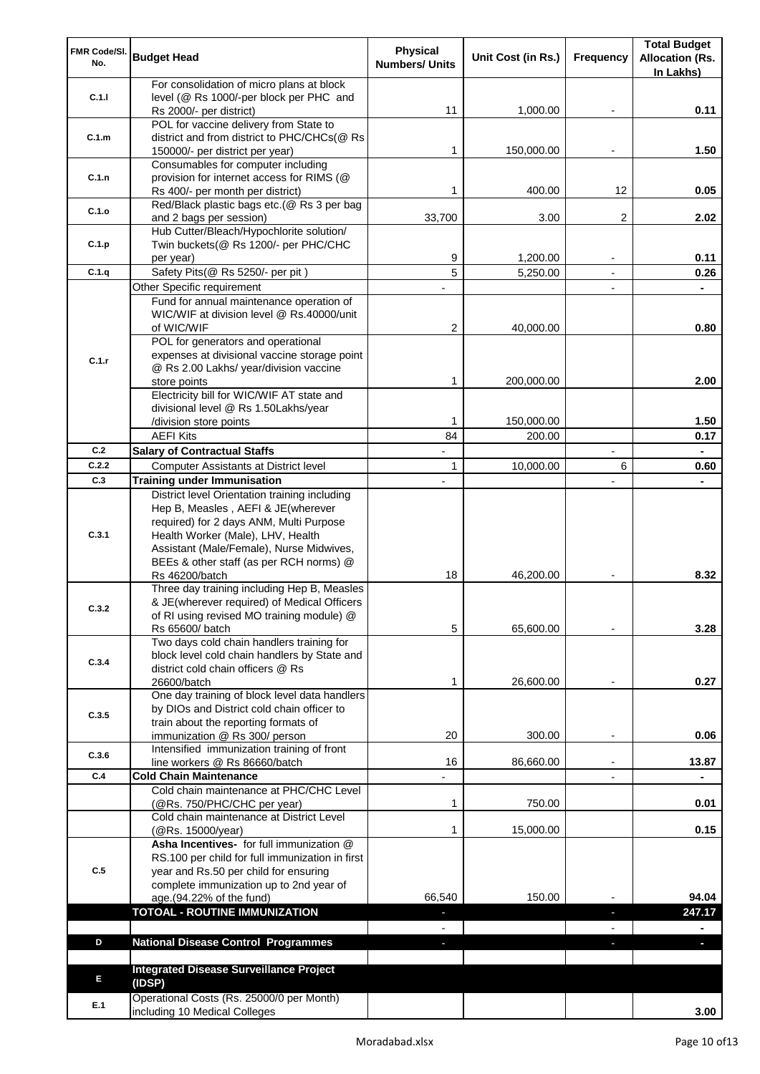| FMR Code/SI.<br>No. | <b>Budget Head</b>                                                                        | <b>Physical</b><br><b>Numbers/ Units</b> | Unit Cost (in Rs.) | Frequency                | <b>Total Budget</b><br><b>Allocation (Rs.</b> |
|---------------------|-------------------------------------------------------------------------------------------|------------------------------------------|--------------------|--------------------------|-----------------------------------------------|
|                     | For consolidation of micro plans at block                                                 |                                          |                    |                          | In Lakhs)                                     |
| C.1.1               | level (@ Rs 1000/-per block per PHC and                                                   |                                          |                    |                          |                                               |
|                     | Rs 2000/- per district)                                                                   | 11                                       | 1,000.00           | $\overline{\phantom{a}}$ | 0.11                                          |
|                     | POL for vaccine delivery from State to                                                    |                                          |                    |                          |                                               |
| C.1.m               | district and from district to PHC/CHCs(@ Rs                                               |                                          |                    |                          |                                               |
|                     | 150000/- per district per year)                                                           | 1                                        | 150,000.00         |                          | 1.50                                          |
|                     | Consumables for computer including                                                        |                                          |                    |                          |                                               |
| C.1.n               | provision for internet access for RIMS (@<br>Rs 400/- per month per district)             | 1                                        | 400.00             | 12                       | 0.05                                          |
|                     | Red/Black plastic bags etc.(@ Rs 3 per bag                                                |                                          |                    |                          |                                               |
| C.1.o               | and 2 bags per session)                                                                   | 33,700                                   | 3.00               | $\overline{2}$           | 2.02                                          |
|                     | Hub Cutter/Bleach/Hypochlorite solution/                                                  |                                          |                    |                          |                                               |
| C.1.p               | Twin buckets(@ Rs 1200/- per PHC/CHC                                                      |                                          |                    |                          |                                               |
|                     | per year)                                                                                 | 9                                        | 1,200.00           |                          | 0.11                                          |
| C.1.q               | Safety Pits(@ Rs 5250/- per pit)                                                          | 5                                        | 5,250.00           | $\blacksquare$           | 0.26                                          |
|                     | Other Specific requirement                                                                |                                          |                    |                          |                                               |
|                     | Fund for annual maintenance operation of                                                  |                                          |                    |                          |                                               |
|                     | WIC/WIF at division level @ Rs.40000/unit                                                 |                                          |                    |                          |                                               |
|                     | of WIC/WIF                                                                                | 2                                        | 40,000.00          |                          | 0.80                                          |
|                     | POL for generators and operational<br>expenses at divisional vaccine storage point        |                                          |                    |                          |                                               |
| C.1.r               | @ Rs 2.00 Lakhs/ year/division vaccine                                                    |                                          |                    |                          |                                               |
|                     | store points                                                                              | 1                                        | 200,000.00         |                          | 2.00                                          |
|                     | Electricity bill for WIC/WIF AT state and                                                 |                                          |                    |                          |                                               |
|                     | divisional level @ Rs 1.50Lakhs/year                                                      |                                          |                    |                          |                                               |
|                     | /division store points                                                                    | 1                                        | 150,000.00         |                          | 1.50                                          |
|                     | <b>AEFI Kits</b>                                                                          | 84                                       | 200.00             |                          | 0.17                                          |
| C.2                 | <b>Salary of Contractual Staffs</b>                                                       |                                          |                    |                          |                                               |
| C.2.2               | Computer Assistants at District level                                                     | 1                                        | 10,000.00          | 6                        | 0.60                                          |
| C.3                 | <b>Training under Immunisation</b>                                                        |                                          |                    |                          |                                               |
|                     | District level Orientation training including                                             |                                          |                    |                          |                                               |
|                     | Hep B, Measles, AEFI & JE(wherever                                                        |                                          |                    |                          |                                               |
|                     | required) for 2 days ANM, Multi Purpose                                                   |                                          |                    |                          |                                               |
| C.3.1               | Health Worker (Male), LHV, Health<br>Assistant (Male/Female), Nurse Midwives,             |                                          |                    |                          |                                               |
|                     | BEEs & other staff (as per RCH norms) @                                                   |                                          |                    |                          |                                               |
|                     | <b>Rs 46200/batch</b>                                                                     | 18                                       | 46,200.00          |                          | 8.32                                          |
|                     | Three day training including Hep B, Measles                                               |                                          |                    |                          |                                               |
| C.3.2               | & JE(wherever required) of Medical Officers                                               |                                          |                    |                          |                                               |
|                     | of RI using revised MO training module) @                                                 |                                          |                    |                          |                                               |
|                     | Rs 65600/ batch                                                                           | 5                                        | 65,600.00          |                          | 3.28                                          |
|                     | Two days cold chain handlers training for<br>block level cold chain handlers by State and |                                          |                    |                          |                                               |
| C.3.4               | district cold chain officers @ Rs                                                         |                                          |                    |                          |                                               |
|                     | 26600/batch                                                                               | 1                                        | 26,600.00          |                          | 0.27                                          |
|                     | One day training of block level data handlers                                             |                                          |                    |                          |                                               |
| C.3.5               | by DIOs and District cold chain officer to                                                |                                          |                    |                          |                                               |
|                     | train about the reporting formats of                                                      |                                          |                    |                          |                                               |
|                     | immunization @ Rs 300/ person                                                             | 20                                       | 300.00             |                          | 0.06                                          |
| C.3.6               | Intensified immunization training of front                                                |                                          |                    |                          |                                               |
| C.4                 | line workers @ Rs 86660/batch<br><b>Cold Chain Maintenance</b>                            | 16                                       | 86,660.00          |                          | 13.87                                         |
|                     | Cold chain maintenance at PHC/CHC Level                                                   |                                          |                    |                          |                                               |
|                     | (@Rs. 750/PHC/CHC per year)                                                               | 1                                        | 750.00             |                          | 0.01                                          |
|                     | Cold chain maintenance at District Level                                                  |                                          |                    |                          |                                               |
|                     | (@Rs. 15000/year)                                                                         | 1                                        | 15,000.00          |                          | 0.15                                          |
|                     | Asha Incentives- for full immunization @                                                  |                                          |                    |                          |                                               |
|                     | RS.100 per child for full immunization in first                                           |                                          |                    |                          |                                               |
| C.5                 | year and Rs.50 per child for ensuring                                                     |                                          |                    |                          |                                               |
|                     | complete immunization up to 2nd year of<br>age.(94.22% of the fund)                       | 66,540                                   | 150.00             |                          | 94.04                                         |
|                     | <b>TOTOAL - ROUTINE IMMUNIZATION</b>                                                      |                                          |                    | J,                       | 247.17                                        |
|                     |                                                                                           |                                          |                    |                          |                                               |
| D                   | <b>National Disease Control Programmes</b>                                                | ٠                                        |                    | ٠                        | ٠                                             |
|                     |                                                                                           |                                          |                    |                          |                                               |
|                     | <b>Integrated Disease Surveillance Project</b>                                            |                                          |                    |                          |                                               |
| E                   | (IDSP)                                                                                    |                                          |                    |                          |                                               |
| E.1                 | Operational Costs (Rs. 25000/0 per Month)                                                 |                                          |                    |                          |                                               |
|                     | including 10 Medical Colleges                                                             |                                          |                    |                          | 3.00                                          |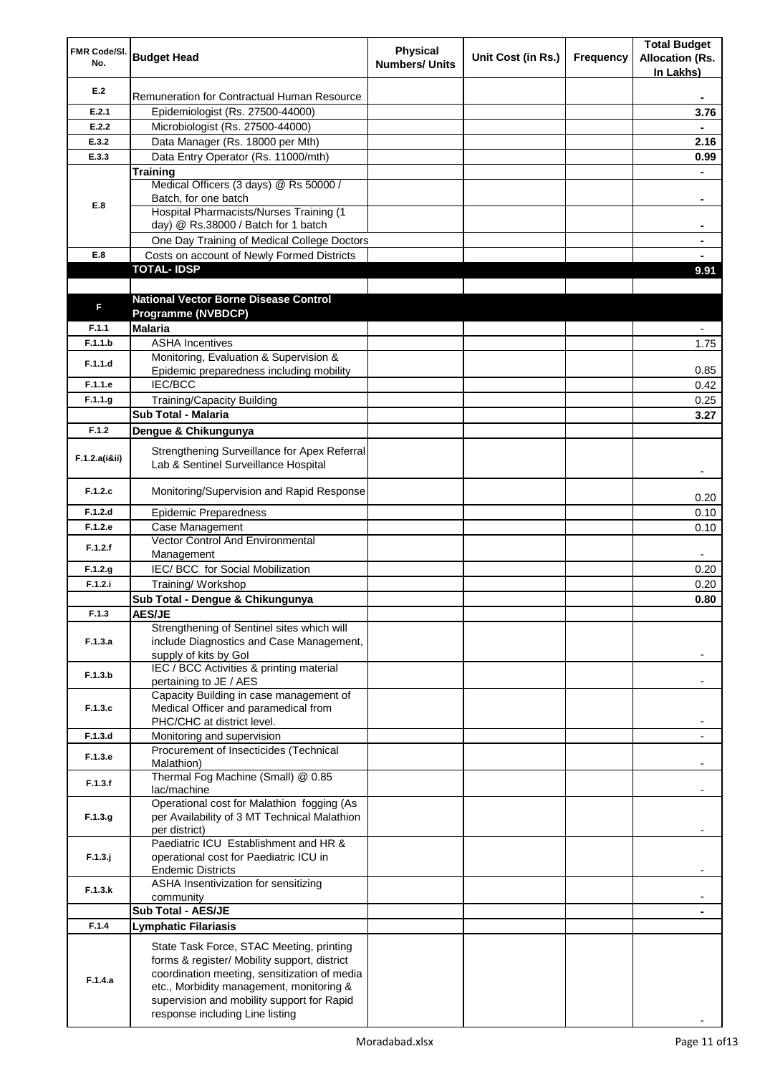| FMR Code/SI.<br>No. | <b>Budget Head</b>                                                                                                                                                                                                                                                    | <b>Physical</b><br><b>Numbers/ Units</b> | Unit Cost (in Rs.) | Frequency | <b>Total Budget</b><br><b>Allocation (Rs.</b><br>In Lakhs) |
|---------------------|-----------------------------------------------------------------------------------------------------------------------------------------------------------------------------------------------------------------------------------------------------------------------|------------------------------------------|--------------------|-----------|------------------------------------------------------------|
| E.2                 | Remuneration for Contractual Human Resource                                                                                                                                                                                                                           |                                          |                    |           |                                                            |
| E.2.1               | Epidemiologist (Rs. 27500-44000)                                                                                                                                                                                                                                      |                                          |                    |           | 3.76                                                       |
| E.2.2               | Microbiologist (Rs. 27500-44000)                                                                                                                                                                                                                                      |                                          |                    |           |                                                            |
| E.3.2               | Data Manager (Rs. 18000 per Mth)                                                                                                                                                                                                                                      |                                          |                    |           | 2.16                                                       |
| E.3.3               | Data Entry Operator (Rs. 11000/mth)                                                                                                                                                                                                                                   |                                          |                    |           | 0.99                                                       |
|                     | Training                                                                                                                                                                                                                                                              |                                          |                    |           |                                                            |
|                     | Medical Officers (3 days) @ Rs 50000 /                                                                                                                                                                                                                                |                                          |                    |           |                                                            |
| E.8                 | Batch, for one batch<br>Hospital Pharmacists/Nurses Training (1                                                                                                                                                                                                       |                                          |                    |           | ۰                                                          |
|                     | day) @ Rs.38000 / Batch for 1 batch                                                                                                                                                                                                                                   |                                          |                    |           | ۰                                                          |
|                     | One Day Training of Medical College Doctors                                                                                                                                                                                                                           |                                          |                    |           |                                                            |
| E.8                 | Costs on account of Newly Formed Districts                                                                                                                                                                                                                            |                                          |                    |           |                                                            |
|                     | <b>TOTAL-IDSP</b>                                                                                                                                                                                                                                                     |                                          |                    |           | 9.91                                                       |
|                     |                                                                                                                                                                                                                                                                       |                                          |                    |           |                                                            |
|                     | <b>National Vector Borne Disease Control</b>                                                                                                                                                                                                                          |                                          |                    |           |                                                            |
| F                   | Programme (NVBDCP)                                                                                                                                                                                                                                                    |                                          |                    |           |                                                            |
| F.1.1               | <b>Malaria</b>                                                                                                                                                                                                                                                        |                                          |                    |           |                                                            |
| F.1.1.b             | <b>ASHA Incentives</b>                                                                                                                                                                                                                                                |                                          |                    |           | 1.75                                                       |
| F.1.1.d             | Monitoring, Evaluation & Supervision &                                                                                                                                                                                                                                |                                          |                    |           |                                                            |
|                     | Epidemic preparedness including mobility                                                                                                                                                                                                                              |                                          |                    |           | 0.85                                                       |
| F.1.1.e             | <b>IEC/BCC</b>                                                                                                                                                                                                                                                        |                                          |                    |           | 0.42                                                       |
| F.1.1.g             | <b>Training/Capacity Building</b>                                                                                                                                                                                                                                     |                                          |                    |           | 0.25                                                       |
|                     | <b>Sub Total - Malaria</b>                                                                                                                                                                                                                                            |                                          |                    |           | 3.27                                                       |
| F.1.2               | Dengue & Chikungunya                                                                                                                                                                                                                                                  |                                          |                    |           |                                                            |
| F.1.2.a(iⅈ)         | Strengthening Surveillance for Apex Referral<br>Lab & Sentinel Surveillance Hospital                                                                                                                                                                                  |                                          |                    |           |                                                            |
| F.1.2.c             | Monitoring/Supervision and Rapid Response                                                                                                                                                                                                                             |                                          |                    |           | 0.20                                                       |
| F.1.2.d             | <b>Epidemic Preparedness</b>                                                                                                                                                                                                                                          |                                          |                    |           | 0.10                                                       |
| F.1.2.e             | Case Management                                                                                                                                                                                                                                                       |                                          |                    |           | 0.10                                                       |
| F.1.2.f             | <b>Vector Control And Environmental</b>                                                                                                                                                                                                                               |                                          |                    |           |                                                            |
|                     | Management                                                                                                                                                                                                                                                            |                                          |                    |           |                                                            |
| F.1.2.g             | IEC/ BCC for Social Mobilization                                                                                                                                                                                                                                      |                                          |                    |           | 0.20                                                       |
| F.1.2.i             | Training/ Workshop<br>Sub Total - Dengue & Chikungunya                                                                                                                                                                                                                |                                          |                    |           | 0.20                                                       |
| F.1.3               | <b>AES/JE</b>                                                                                                                                                                                                                                                         |                                          |                    |           | 0.80                                                       |
|                     | Strengthening of Sentinel sites which will                                                                                                                                                                                                                            |                                          |                    |           |                                                            |
| F.1.3.a             | include Diagnostics and Case Management,<br>supply of kits by Gol                                                                                                                                                                                                     |                                          |                    |           |                                                            |
| F.1.3.b             | IEC / BCC Activities & printing material<br>pertaining to JE / AES                                                                                                                                                                                                    |                                          |                    |           |                                                            |
|                     | Capacity Building in case management of                                                                                                                                                                                                                               |                                          |                    |           |                                                            |
| F.1.3.c             | Medical Officer and paramedical from                                                                                                                                                                                                                                  |                                          |                    |           |                                                            |
|                     | PHC/CHC at district level.                                                                                                                                                                                                                                            |                                          |                    |           |                                                            |
| F.1.3.d             | Monitoring and supervision<br>Procurement of Insecticides (Technical                                                                                                                                                                                                  |                                          |                    |           | ٠                                                          |
| F.1.3.e             | Malathion)                                                                                                                                                                                                                                                            |                                          |                    |           |                                                            |
| F.1.3.f             | Thermal Fog Machine (Small) @ 0.85<br>lac/machine                                                                                                                                                                                                                     |                                          |                    |           |                                                            |
| F.1.3.g             | Operational cost for Malathion fogging (As<br>per Availability of 3 MT Technical Malathion<br>per district)                                                                                                                                                           |                                          |                    |           |                                                            |
| $F.1.3.$ j          | Paediatric ICU Establishment and HR &<br>operational cost for Paediatric ICU in<br><b>Endemic Districts</b>                                                                                                                                                           |                                          |                    |           |                                                            |
| F.1.3.k             | ASHA Insentivization for sensitizing<br>community                                                                                                                                                                                                                     |                                          |                    |           |                                                            |
|                     | Sub Total - AES/JE                                                                                                                                                                                                                                                    |                                          |                    |           |                                                            |
| F.1.4               | Lymphatic Filariasis                                                                                                                                                                                                                                                  |                                          |                    |           |                                                            |
| F.1.4.a             | State Task Force, STAC Meeting, printing<br>forms & register/ Mobility support, district<br>coordination meeting, sensitization of media<br>etc., Morbidity management, monitoring &<br>supervision and mobility support for Rapid<br>response including Line listing |                                          |                    |           |                                                            |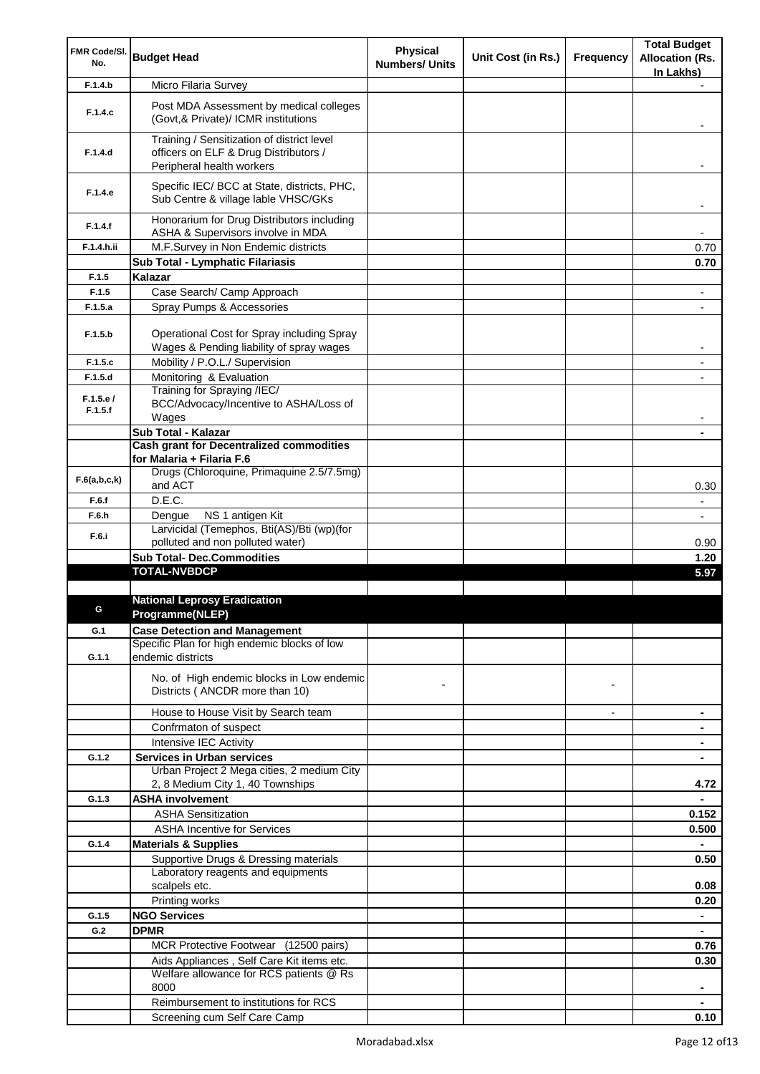| FMR Code/SI.        |                                                                                                                  | <b>Physical</b>       |                    |                          | <b>Total Budget</b>      |
|---------------------|------------------------------------------------------------------------------------------------------------------|-----------------------|--------------------|--------------------------|--------------------------|
| No.                 | <b>Budget Head</b>                                                                                               | <b>Numbers/ Units</b> | Unit Cost (in Rs.) | Frequency                | <b>Allocation (Rs.</b>   |
|                     |                                                                                                                  |                       |                    |                          | In Lakhs)                |
| F.1.4.b             | Micro Filaria Survey                                                                                             |                       |                    |                          |                          |
| F.1.4.c             | Post MDA Assessment by medical colleges<br>(Govt, & Private)/ ICMR institutions                                  |                       |                    |                          |                          |
| F.1.4.d             | Training / Sensitization of district level<br>officers on ELF & Drug Distributors /<br>Peripheral health workers |                       |                    |                          |                          |
| F.1.4.e             | Specific IEC/ BCC at State, districts, PHC,<br>Sub Centre & village lable VHSC/GKs                               |                       |                    |                          |                          |
| F.1.4.f             | Honorarium for Drug Distributors including<br>ASHA & Supervisors involve in MDA                                  |                       |                    |                          | $\overline{\phantom{a}}$ |
| F.1.4.h.ii          | M.F.Survey in Non Endemic districts                                                                              |                       |                    |                          | 0.70                     |
|                     | Sub Total - Lymphatic Filariasis                                                                                 |                       |                    |                          | 0.70                     |
| F.1.5               | Kalazar                                                                                                          |                       |                    |                          |                          |
| F.1.5               | Case Search/ Camp Approach                                                                                       |                       |                    |                          |                          |
| F.1.5.a             | Spray Pumps & Accessories                                                                                        |                       |                    |                          |                          |
| F.1.5.b             | Operational Cost for Spray including Spray                                                                       |                       |                    |                          |                          |
|                     | Wages & Pending liability of spray wages                                                                         |                       |                    |                          | $\overline{\phantom{a}}$ |
| F.1.5.c             | Mobility / P.O.L./ Supervision                                                                                   |                       |                    |                          | $\overline{\phantom{a}}$ |
| F.1.5.d             | Monitoring & Evaluation                                                                                          |                       |                    |                          |                          |
| F.1.5.e/<br>F.1.5.f | Training for Spraying /IEC/<br>BCC/Advocacy/Incentive to ASHA/Loss of<br>Wages                                   |                       |                    |                          |                          |
|                     | Sub Total - Kalazar                                                                                              |                       |                    |                          |                          |
|                     | <b>Cash grant for Decentralized commodities</b>                                                                  |                       |                    |                          |                          |
|                     | for Malaria + Filaria F.6                                                                                        |                       |                    |                          |                          |
| F.6(a,b,c,k)        | Drugs (Chloroquine, Primaquine 2.5/7.5mg)<br>and ACT                                                             |                       |                    |                          | 0.30                     |
| F.6.f               | D.E.C.                                                                                                           |                       |                    |                          | $\overline{\phantom{a}}$ |
| F.6.h               | NS 1 antigen Kit<br>Dengue                                                                                       |                       |                    |                          | $\overline{\phantom{a}}$ |
| F.6.i               | Larvicidal (Temephos, Bti(AS)/Bti (wp)(for                                                                       |                       |                    |                          |                          |
|                     | polluted and non polluted water)                                                                                 |                       |                    |                          | 0.90                     |
|                     | <b>Sub Total- Dec.Commodities</b><br><b>TOTAL-NVBDCP</b>                                                         |                       |                    |                          | 1.20                     |
|                     |                                                                                                                  |                       |                    |                          | 5.97                     |
|                     | <b>National Leprosy Eradication</b>                                                                              |                       |                    |                          |                          |
|                     | Programme(NLEP)                                                                                                  |                       |                    |                          |                          |
| G.1                 | <b>Case Detection and Management</b>                                                                             |                       |                    |                          |                          |
|                     | Specific Plan for high endemic blocks of low                                                                     |                       |                    |                          |                          |
| G.1.1               | endemic districts                                                                                                |                       |                    |                          |                          |
|                     | No. of High endemic blocks in Low endemic<br>Districts ( ANCDR more than 10)                                     |                       |                    |                          |                          |
|                     |                                                                                                                  |                       |                    |                          |                          |
|                     | House to House Visit by Search team                                                                              |                       |                    | $\overline{\phantom{a}}$ |                          |
|                     | Confrmaton of suspect                                                                                            |                       |                    |                          |                          |
|                     | Intensive IEC Activity                                                                                           |                       |                    |                          | ۰                        |
| G.1.2               | <b>Services in Urban services</b><br>Urban Project 2 Mega cities, 2 medium City                                  |                       |                    |                          |                          |
|                     | 2, 8 Medium City 1, 40 Townships                                                                                 |                       |                    |                          | 4.72                     |
| G.1.3               | <b>ASHA involvement</b>                                                                                          |                       |                    |                          | $\blacksquare$           |
|                     | <b>ASHA Sensitization</b>                                                                                        |                       |                    |                          | 0.152                    |
|                     | <b>ASHA Incentive for Services</b>                                                                               |                       |                    |                          | 0.500                    |
| G.1.4               | <b>Materials &amp; Supplies</b>                                                                                  |                       |                    |                          | $\blacksquare$           |
|                     | Supportive Drugs & Dressing materials                                                                            |                       |                    |                          | 0.50                     |
|                     | Laboratory reagents and equipments                                                                               |                       |                    |                          |                          |
|                     | scalpels etc.                                                                                                    |                       |                    |                          | 0.08                     |
|                     | Printing works                                                                                                   |                       |                    |                          | 0.20                     |
| G.1.5               | <b>NGO Services</b>                                                                                              |                       |                    |                          |                          |
| G.2                 | <b>DPMR</b>                                                                                                      |                       |                    |                          |                          |
|                     | MCR Protective Footwear (12500 pairs)                                                                            |                       |                    |                          | 0.76                     |
|                     | Aids Appliances, Self Care Kit items etc.                                                                        |                       |                    |                          | 0.30                     |
|                     | Welfare allowance for RCS patients @ Rs                                                                          |                       |                    |                          |                          |
|                     | 8000                                                                                                             |                       |                    |                          | ٠                        |
|                     | Reimbursement to institutions for RCS                                                                            |                       |                    |                          |                          |
|                     | Screening cum Self Care Camp                                                                                     |                       |                    |                          | 0.10                     |